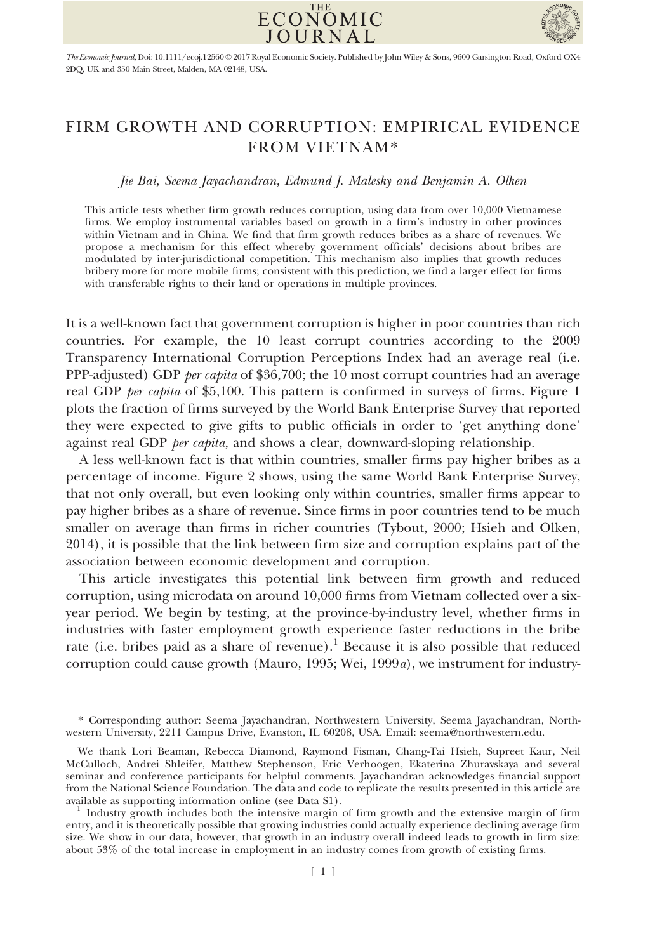



The Economic Journal, Doi: 10.1111/ecoj.12560 © 2017 Royal Economic Society. Published by John Wiley & Sons, 9600 Garsington Road, Oxford OX4 2DQ, UK and 350 Main Street, Malden, MA 02148, USA.

# FIRM GROWTH AND CORRUPTION: EMPIRICAL EVIDENCE FROM VIETNAM\*

Jie Bai, Seema Jayachandran, Edmund J. Malesky and Benjamin A. Olken

This article tests whether firm growth reduces corruption, using data from over 10,000 Vietnamese firms. We employ instrumental variables based on growth in a firm's industry in other provinces within Vietnam and in China. We find that firm growth reduces bribes as a share of revenues. We propose a mechanism for this effect whereby government officials' decisions about bribes are modulated by inter-jurisdictional competition. This mechanism also implies that growth reduces bribery more for more mobile firms; consistent with this prediction, we find a larger effect for firms with transferable rights to their land or operations in multiple provinces.

It is a well-known fact that government corruption is higher in poor countries than rich countries. For example, the 10 least corrupt countries according to the 2009 Transparency International Corruption Perceptions Index had an average real (i.e. PPP-adjusted) GDP *per capita* of \$36,700; the 10 most corrupt countries had an average real GDP *per capita* of \$5,100. This pattern is confirmed in surveys of firms. Figure 1 plots the fraction of firms surveyed by the World Bank Enterprise Survey that reported they were expected to give gifts to public officials in order to 'get anything done' against real GDP *per capita*, and shows a clear, downward-sloping relationship.

A less well-known fact is that within countries, smaller firms pay higher bribes as a percentage of income. Figure 2 shows, using the same World Bank Enterprise Survey, that not only overall, but even looking only within countries, smaller firms appear to pay higher bribes as a share of revenue. Since firms in poor countries tend to be much smaller on average than firms in richer countries (Tybout, 2000; Hsieh and Olken, 2014), it is possible that the link between firm size and corruption explains part of the association between economic development and corruption.

This article investigates this potential link between firm growth and reduced corruption, using microdata on around 10,000 firms from Vietnam collected over a sixyear period. We begin by testing, at the province-by-industry level, whether firms in industries with faster employment growth experience faster reductions in the bribe rate (i.e. bribes paid as a share of revenue).<sup>1</sup> Because it is also possible that reduced corruption could cause growth (Mauro, 1995; Wei, 1999a), we instrument for industry-

<sup>\*</sup> Corresponding author: Seema Jayachandran, Northwestern University, Seema Jayachandran, Northwestern University, 2211 Campus Drive, Evanston, IL 60208, USA. Email: seema@northwestern.edu.

We thank Lori Beaman, Rebecca Diamond, Raymond Fisman, Chang-Tai Hsieh, Supreet Kaur, Neil McCulloch, Andrei Shleifer, Matthew Stephenson, Eric Verhoogen, Ekaterina Zhuravskaya and several seminar and conference participants for helpful comments. Jayachandran acknowledges financial support from the National Science Foundation. The data and code to replicate the results presented in this article are

available as supporting information online (see Data S1).<br><sup>1</sup> Industry growth includes both the intensive margin of firm growth and the extensive margin of firm entry, and it is theoretically possible that growing industries could actually experience declining average firm size. We show in our data, however, that growth in an industry overall indeed leads to growth in firm size: about 53% of the total increase in employment in an industry comes from growth of existing firms.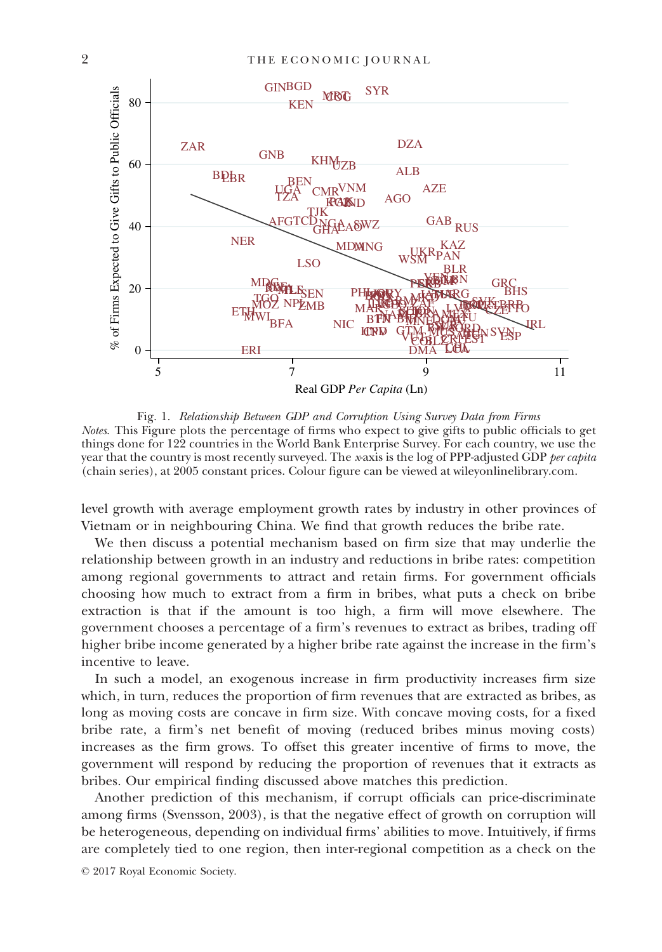

Fig. 1. Relationship Between GDP and Corruption Using Survey Data from Firms Notes. This Figure plots the percentage of firms who expect to give gifts to public officials to get things done for 122 countries in the World Bank Enterprise Survey. For each country, we use the year that the country is most recently surveyed. The x-axis is the log of PPP-adjusted GDP per capita (chain series), at 2005 constant prices. Colour figure can be viewed at wileyonlinelibrary.com.

level growth with average employment growth rates by industry in other provinces of Vietnam or in neighbouring China. We find that growth reduces the bribe rate.

We then discuss a potential mechanism based on firm size that may underlie the relationship between growth in an industry and reductions in bribe rates: competition among regional governments to attract and retain firms. For government officials choosing how much to extract from a firm in bribes, what puts a check on bribe extraction is that if the amount is too high, a firm will move elsewhere. The government chooses a percentage of a firm's revenues to extract as bribes, trading off higher bribe income generated by a higher bribe rate against the increase in the firm's incentive to leave.

In such a model, an exogenous increase in firm productivity increases firm size which, in turn, reduces the proportion of firm revenues that are extracted as bribes, as long as moving costs are concave in firm size. With concave moving costs, for a fixed bribe rate, a firm's net benefit of moving (reduced bribes minus moving costs) increases as the firm grows. To offset this greater incentive of firms to move, the government will respond by reducing the proportion of revenues that it extracts as bribes. Our empirical finding discussed above matches this prediction.

Another prediction of this mechanism, if corrupt officials can price-discriminate among firms (Svensson, 2003), is that the negative effect of growth on corruption will be heterogeneous, depending on individual firms' abilities to move. Intuitively, if firms are completely tied to one region, then inter-regional competition as a check on the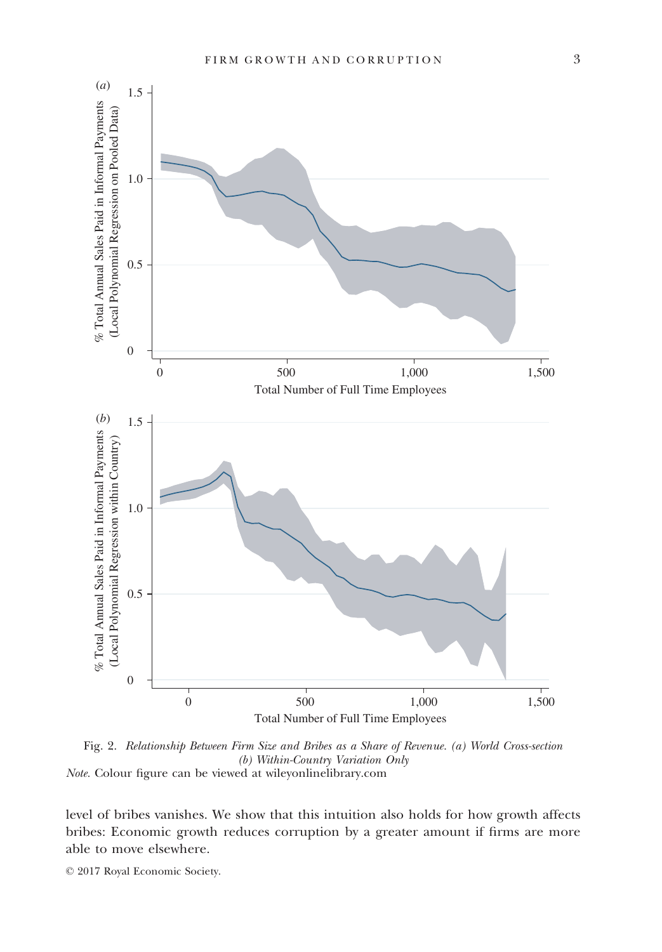

Fig. 2. Relationship Between Firm Size and Bribes as a Share of Revenue. (a) World Cross-section (b) Within-Country Variation Only Note. Colour figure can be viewed at wileyonlinelibrary.com

level of bribes vanishes. We show that this intuition also holds for how growth affects bribes: Economic growth reduces corruption by a greater amount if firms are more able to move elsewhere.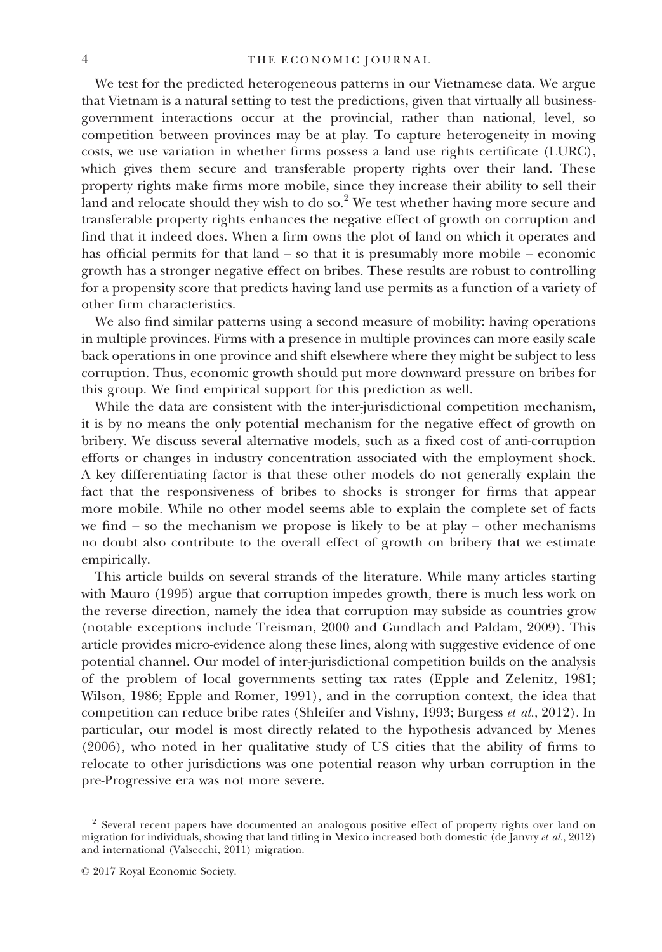We test for the predicted heterogeneous patterns in our Vietnamese data. We argue that Vietnam is a natural setting to test the predictions, given that virtually all businessgovernment interactions occur at the provincial, rather than national, level, so competition between provinces may be at play. To capture heterogeneity in moving costs, we use variation in whether firms possess a land use rights certificate (LURC), which gives them secure and transferable property rights over their land. These property rights make firms more mobile, since they increase their ability to sell their land and relocate should they wish to do so.<sup>2</sup> We test whether having more secure and transferable property rights enhances the negative effect of growth on corruption and find that it indeed does. When a firm owns the plot of land on which it operates and has official permits for that land – so that it is presumably more mobile – economic growth has a stronger negative effect on bribes. These results are robust to controlling for a propensity score that predicts having land use permits as a function of a variety of other firm characteristics.

We also find similar patterns using a second measure of mobility: having operations in multiple provinces. Firms with a presence in multiple provinces can more easily scale back operations in one province and shift elsewhere where they might be subject to less corruption. Thus, economic growth should put more downward pressure on bribes for this group. We find empirical support for this prediction as well.

While the data are consistent with the inter-jurisdictional competition mechanism, it is by no means the only potential mechanism for the negative effect of growth on bribery. We discuss several alternative models, such as a fixed cost of anti-corruption efforts or changes in industry concentration associated with the employment shock. A key differentiating factor is that these other models do not generally explain the fact that the responsiveness of bribes to shocks is stronger for firms that appear more mobile. While no other model seems able to explain the complete set of facts we find – so the mechanism we propose is likely to be at play – other mechanisms no doubt also contribute to the overall effect of growth on bribery that we estimate empirically.

This article builds on several strands of the literature. While many articles starting with Mauro (1995) argue that corruption impedes growth, there is much less work on the reverse direction, namely the idea that corruption may subside as countries grow (notable exceptions include Treisman, 2000 and Gundlach and Paldam, 2009). This article provides micro-evidence along these lines, along with suggestive evidence of one potential channel. Our model of inter-jurisdictional competition builds on the analysis of the problem of local governments setting tax rates (Epple and Zelenitz, 1981; Wilson, 1986; Epple and Romer, 1991), and in the corruption context, the idea that competition can reduce bribe rates (Shleifer and Vishny, 1993; Burgess et al., 2012). In particular, our model is most directly related to the hypothesis advanced by Menes (2006), who noted in her qualitative study of US cities that the ability of firms to relocate to other jurisdictions was one potential reason why urban corruption in the pre-Progressive era was not more severe.

<sup>2</sup> Several recent papers have documented an analogous positive effect of property rights over land on migration for individuals, showing that land titling in Mexico increased both domestic (de Janvry et al., 2012) and international (Valsecchi, 2011) migration.

<sup>©</sup> 2017 Royal Economic Society.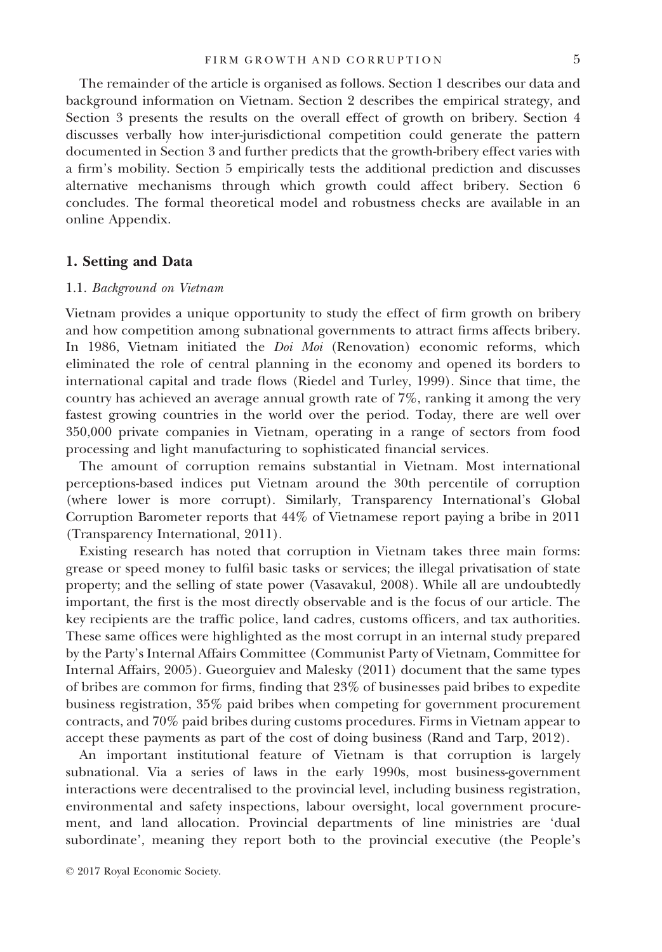The remainder of the article is organised as follows. Section 1 describes our data and background information on Vietnam. Section 2 describes the empirical strategy, and Section 3 presents the results on the overall effect of growth on bribery. Section 4 discusses verbally how inter-jurisdictional competition could generate the pattern documented in Section 3 and further predicts that the growth-bribery effect varies with a firm's mobility. Section 5 empirically tests the additional prediction and discusses alternative mechanisms through which growth could affect bribery. Section 6 concludes. The formal theoretical model and robustness checks are available in an online Appendix.

### 1. Setting and Data

### 1.1. Background on Vietnam

Vietnam provides a unique opportunity to study the effect of firm growth on bribery and how competition among subnational governments to attract firms affects bribery. In 1986, Vietnam initiated the *Doi Moi* (Renovation) economic reforms, which eliminated the role of central planning in the economy and opened its borders to international capital and trade flows (Riedel and Turley, 1999). Since that time, the country has achieved an average annual growth rate of 7%, ranking it among the very fastest growing countries in the world over the period. Today, there are well over 350,000 private companies in Vietnam, operating in a range of sectors from food processing and light manufacturing to sophisticated financial services.

The amount of corruption remains substantial in Vietnam. Most international perceptions-based indices put Vietnam around the 30th percentile of corruption (where lower is more corrupt). Similarly, Transparency International's Global Corruption Barometer reports that 44% of Vietnamese report paying a bribe in 2011 (Transparency International, 2011).

Existing research has noted that corruption in Vietnam takes three main forms: grease or speed money to fulfil basic tasks or services; the illegal privatisation of state property; and the selling of state power (Vasavakul, 2008). While all are undoubtedly important, the first is the most directly observable and is the focus of our article. The key recipients are the traffic police, land cadres, customs officers, and tax authorities. These same offices were highlighted as the most corrupt in an internal study prepared by the Party's Internal Affairs Committee (Communist Party of Vietnam, Committee for Internal Affairs, 2005). Gueorguiev and Malesky (2011) document that the same types of bribes are common for firms, finding that 23% of businesses paid bribes to expedite business registration, 35% paid bribes when competing for government procurement contracts, and 70% paid bribes during customs procedures. Firms in Vietnam appear to accept these payments as part of the cost of doing business (Rand and Tarp, 2012).

An important institutional feature of Vietnam is that corruption is largely subnational. Via a series of laws in the early 1990s, most business-government interactions were decentralised to the provincial level, including business registration, environmental and safety inspections, labour oversight, local government procurement, and land allocation. Provincial departments of line ministries are 'dual subordinate', meaning they report both to the provincial executive (the People's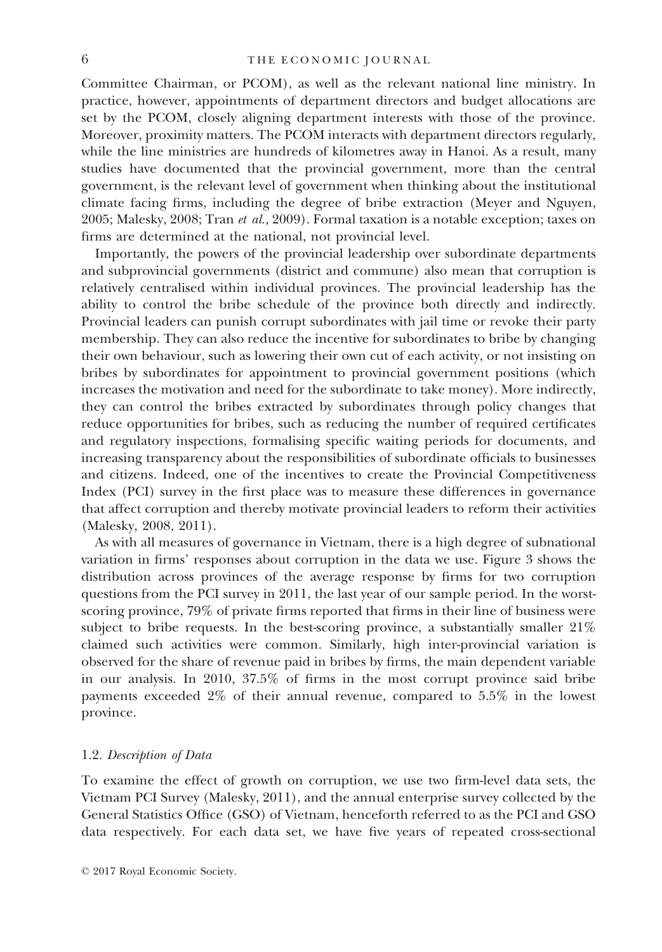Committee Chairman, or PCOM), as well as the relevant national line ministry. In practice, however, appointments of department directors and budget allocations are set by the PCOM, closely aligning department interests with those of the province. Moreover, proximity matters. The PCOM interacts with department directors regularly, while the line ministries are hundreds of kilometres away in Hanoi. As a result, many studies have documented that the provincial government, more than the central government, is the relevant level of government when thinking about the institutional climate facing firms, including the degree of bribe extraction (Meyer and Nguyen, 2005; Malesky, 2008; Tran et al., 2009). Formal taxation is a notable exception; taxes on firms are determined at the national, not provincial level.

Importantly, the powers of the provincial leadership over subordinate departments and subprovincial governments (district and commune) also mean that corruption is relatively centralised within individual provinces. The provincial leadership has the ability to control the bribe schedule of the province both directly and indirectly. Provincial leaders can punish corrupt subordinates with jail time or revoke their party membership. They can also reduce the incentive for subordinates to bribe by changing their own behaviour, such as lowering their own cut of each activity, or not insisting on bribes by subordinates for appointment to provincial government positions (which increases the motivation and need for the subordinate to take money). More indirectly, they can control the bribes extracted by subordinates through policy changes that reduce opportunities for bribes, such as reducing the number of required certificates and regulatory inspections, formalising specific waiting periods for documents, and increasing transparency about the responsibilities of subordinate officials to businesses and citizens. Indeed, one of the incentives to create the Provincial Competitiveness Index (PCI) survey in the first place was to measure these differences in governance that affect corruption and thereby motivate provincial leaders to reform their activities (Malesky, 2008, 2011).

As with all measures of governance in Vietnam, there is a high degree of subnational variation in firms' responses about corruption in the data we use. Figure 3 shows the distribution across provinces of the average response by firms for two corruption questions from the PCI survey in 2011, the last year of our sample period. In the worstscoring province, 79% of private firms reported that firms in their line of business were subject to bribe requests. In the best-scoring province, a substantially smaller 21% claimed such activities were common. Similarly, high inter-provincial variation is observed for the share of revenue paid in bribes by firms, the main dependent variable in our analysis. In 2010, 37.5% of firms in the most corrupt province said bribe payments exceeded 2% of their annual revenue, compared to 5.5% in the lowest province.

### 1.2. Description of Data

To examine the effect of growth on corruption, we use two firm-level data sets, the Vietnam PCI Survey (Malesky, 2011), and the annual enterprise survey collected by the General Statistics Office (GSO) of Vietnam, henceforth referred to as the PCI and GSO data respectively. For each data set, we have five years of repeated cross-sectional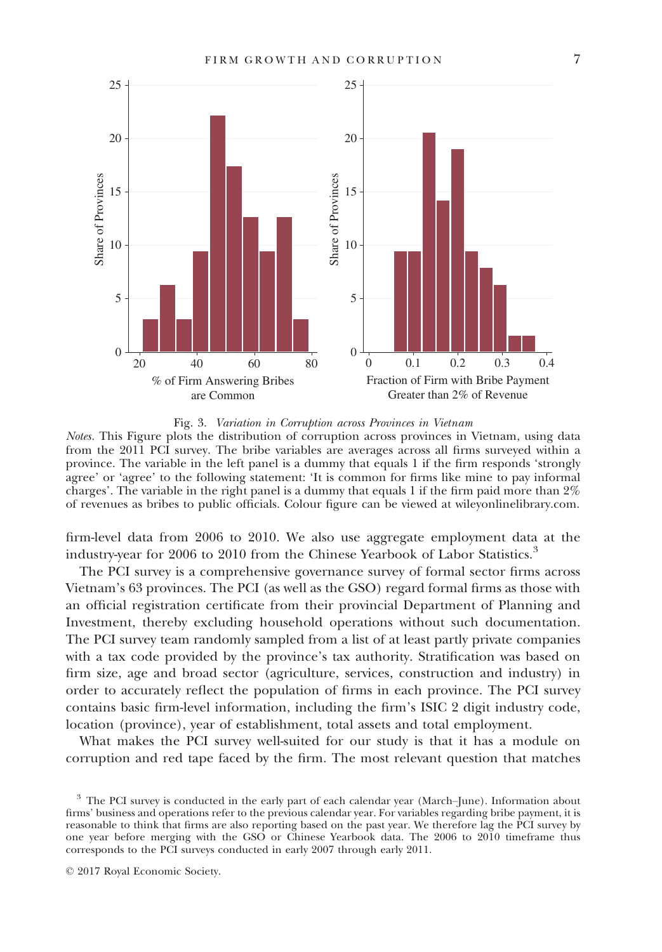

#### Fig. 3. Variation in Corruption across Provinces in Vietnam

Notes. This Figure plots the distribution of corruption across provinces in Vietnam, using data from the 2011 PCI survey. The bribe variables are averages across all firms surveyed within a province. The variable in the left panel is a dummy that equals 1 if the firm responds 'strongly agree' or 'agree' to the following statement: 'It is common for firms like mine to pay informal charges'. The variable in the right panel is a dummy that equals 1 if the firm paid more than 2% of revenues as bribes to public officials. Colour figure can be viewed at wileyonlinelibrary.com.

firm-level data from 2006 to 2010. We also use aggregate employment data at the industry-year for 2006 to 2010 from the Chinese Yearbook of Labor Statistics.<sup>3</sup>

The PCI survey is a comprehensive governance survey of formal sector firms across Vietnam's 63 provinces. The PCI (as well as the GSO) regard formal firms as those with an official registration certificate from their provincial Department of Planning and Investment, thereby excluding household operations without such documentation. The PCI survey team randomly sampled from a list of at least partly private companies with a tax code provided by the province's tax authority. Stratification was based on firm size, age and broad sector (agriculture, services, construction and industry) in order to accurately reflect the population of firms in each province. The PCI survey contains basic firm-level information, including the firm's ISIC 2 digit industry code, location (province), year of establishment, total assets and total employment.

What makes the PCI survey well-suited for our study is that it has a module on corruption and red tape faced by the firm. The most relevant question that matches

<sup>&</sup>lt;sup>3</sup> The PCI survey is conducted in the early part of each calendar year (March–June). Information about firms' business and operations refer to the previous calendar year. For variables regarding bribe payment, it is reasonable to think that firms are also reporting based on the past year. We therefore lag the PCI survey by one year before merging with the GSO or Chinese Yearbook data. The 2006 to 2010 timeframe thus corresponds to the PCI surveys conducted in early 2007 through early 2011.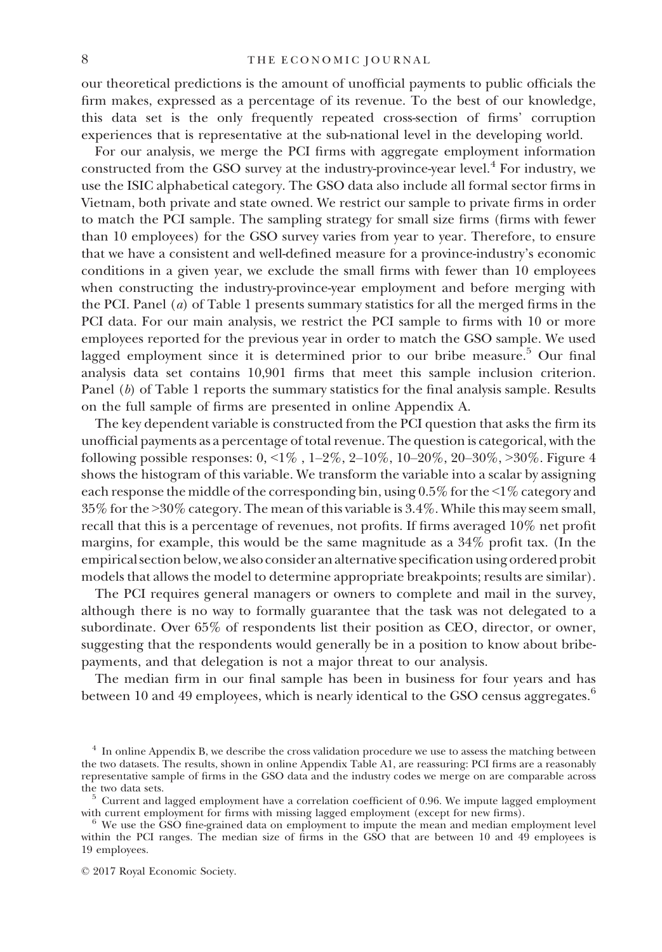our theoretical predictions is the amount of unofficial payments to public officials the firm makes, expressed as a percentage of its revenue. To the best of our knowledge, this data set is the only frequently repeated cross-section of firms' corruption experiences that is representative at the sub-national level in the developing world.

For our analysis, we merge the PCI firms with aggregate employment information constructed from the GSO survey at the industry-province-year level.<sup>4</sup> For industry, we use the ISIC alphabetical category. The GSO data also include all formal sector firms in Vietnam, both private and state owned. We restrict our sample to private firms in order to match the PCI sample. The sampling strategy for small size firms (firms with fewer than 10 employees) for the GSO survey varies from year to year. Therefore, to ensure that we have a consistent and well-defined measure for a province-industry's economic conditions in a given year, we exclude the small firms with fewer than 10 employees when constructing the industry-province-year employment and before merging with the PCI. Panel (a) of Table 1 presents summary statistics for all the merged firms in the PCI data. For our main analysis, we restrict the PCI sample to firms with 10 or more employees reported for the previous year in order to match the GSO sample. We used lagged employment since it is determined prior to our bribe measure.<sup>5</sup> Our final analysis data set contains 10,901 firms that meet this sample inclusion criterion. Panel (b) of Table 1 reports the summary statistics for the final analysis sample. Results on the full sample of firms are presented in online Appendix A.

The key dependent variable is constructed from the PCI question that asks the firm its unofficial payments as a percentage of total revenue. The question is categorical, with the following possible responses: 0, <1% , 1–2%, 2–10%, 10–20%, 20–30%, >30%. Figure 4 shows the histogram of this variable. We transform the variable into a scalar by assigning each response the middle of the corresponding bin, using 0.5% for the <1% category and 35% for the >30% category. The mean of this variable is 3.4%. While this may seem small, recall that this is a percentage of revenues, not profits. If firms averaged 10% net profit margins, for example, this would be the same magnitude as a 34% profit tax. (In the empirical section below, we also consider an alternative specification using ordered probit models that allows the model to determine appropriate breakpoints; results are similar).

The PCI requires general managers or owners to complete and mail in the survey, although there is no way to formally guarantee that the task was not delegated to a subordinate. Over 65% of respondents list their position as CEO, director, or owner, suggesting that the respondents would generally be in a position to know about bribepayments, and that delegation is not a major threat to our analysis.

The median firm in our final sample has been in business for four years and has between 10 and 49 employees, which is nearly identical to the GSO census aggregates.<sup>6</sup>

<sup>4</sup> In online Appendix B, we describe the cross validation procedure we use to assess the matching between the two datasets. The results, shown in online Appendix Table A1, are reassuring: PCI firms are a reasonably representative sample of firms in the GSO data and the industry codes we merge on are comparable across

the two data sets.<br><sup>5</sup> Current and lagged employment have a correlation coefficient of 0.96. We impute lagged employment with current employment for firms with missing lagged employment (except for new firms).

 $6$  We use the GSO fine-grained data on employment to impute the mean and median employment level within the PCI ranges. The median size of firms in the GSO that are between 10 and 49 employees is 19 employees.

<sup>©</sup> 2017 Royal Economic Society.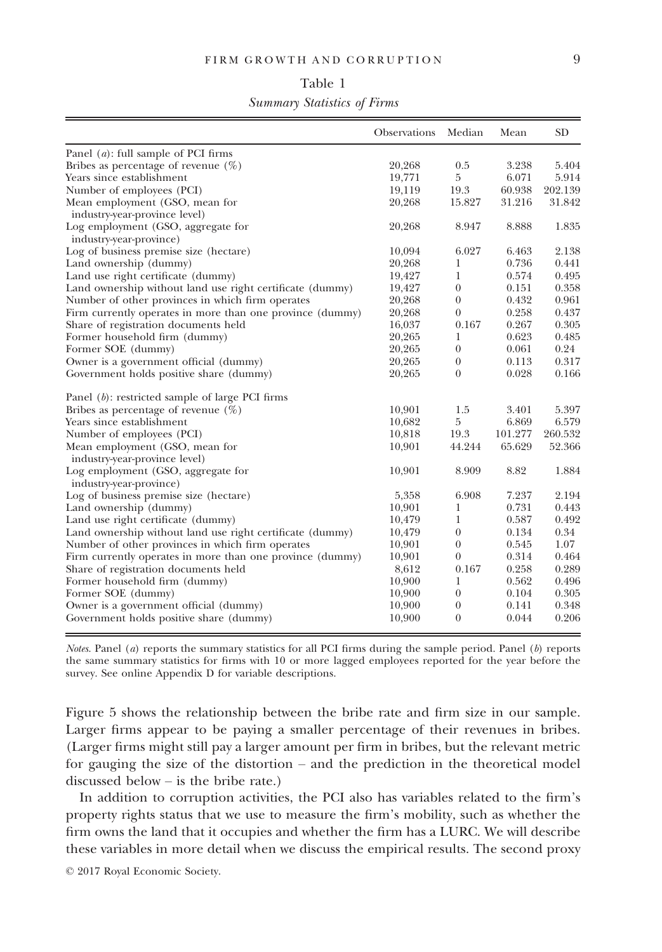|                                    | Table 1 |  |
|------------------------------------|---------|--|
| <b>Summary Statistics of Firms</b> |         |  |

|                                                               | Observations | Median           | Mean    | <b>SD</b> |
|---------------------------------------------------------------|--------------|------------------|---------|-----------|
| Panel $(a)$ : full sample of PCI firms                        |              |                  |         |           |
| Bribes as percentage of revenue $(\%)$                        | 20,268       | 0.5              | 3.238   | 5.404     |
| Years since establishment                                     | 19,771       | 5                | 6.071   | 5.914     |
| Number of employees (PCI)                                     | 19,119       | 19.3             | 60.938  | 202.139   |
| Mean employment (GSO, mean for                                | 20,268       | 15.827           | 31.216  | 31.842    |
| industry-year-province level)                                 |              |                  |         |           |
| Log employment (GSO, aggregate for                            | 20,268       | 8.947            | 8.888   | 1.835     |
| industry-year-province)                                       |              |                  |         |           |
| Log of business premise size (hectare)                        | 10,094       | 6.027            | 6.463   | 2.138     |
| Land ownership (dummy)                                        | 20,268       | 1                | 0.736   | 0.441     |
| Land use right certificate (dummy)                            | 19,427       | 1                | 0.574   | 0.495     |
| Land ownership without land use right certificate (dummy)     | 19,427       | $\theta$         | 0.151   | 0.358     |
| Number of other provinces in which firm operates              | 20,268       | $\theta$         | 0.432   | 0.961     |
| Firm currently operates in more than one province (dummy)     | 20,268       | $\overline{0}$   | 0.258   | 0.437     |
| Share of registration documents held                          | 16,037       | 0.167            | 0.267   | 0.305     |
| Former household firm (dummy)                                 | 20,265       | 1                | 0.623   | 0.485     |
| Former SOE (dummy)                                            | 20,265       | $\theta$         | 0.061   | 0.24      |
| Owner is a government official (dummy)                        | 20,265       | $\theta$         | 0.113   | 0.317     |
| Government holds positive share (dummy)                       | 20,265       | $\theta$         | 0.028   | 0.166     |
| Panel (b): restricted sample of large PCI firms               |              |                  |         |           |
| Bribes as percentage of revenue $(\%)$                        | 10,901       | 1.5              | 3.401   | 5.397     |
| Years since establishment                                     | 10,682       | 5                | 6.869   | 6.579     |
| Number of employees (PCI)                                     | 10,818       | 19.3             | 101.277 | 260.532   |
| Mean employment (GSO, mean for                                | 10,901       | 44.244           | 65.629  | 52.366    |
| industry-year-province level)                                 |              |                  |         |           |
| Log employment (GSO, aggregate for<br>industry-year-province) | 10,901       | 8.909            | 8.82    | 1.884     |
| Log of business premise size (hectare)                        | 5,358        | 6.908            | 7.237   | 2.194     |
| Land ownership (dummy)                                        | 10,901       | 1                | 0.731   | 0.443     |
| Land use right certificate (dummy)                            | 10,479       | 1                | 0.587   | 0.492     |
| Land ownership without land use right certificate (dummy)     | 10,479       | $\theta$         | 0.134   | 0.34      |
| Number of other provinces in which firm operates              | 10,901       | $\theta$         | 0.545   | 1.07      |
| Firm currently operates in more than one province (dummy)     | 10,901       | $\mathbf{0}$     | 0.314   | 0.464     |
| Share of registration documents held                          | 8,612        | 0.167            | 0.258   | 0.289     |
| Former household firm (dummy)                                 | 10,900       | 1                | 0.562   | 0.496     |
| Former SOE (dummy)                                            | 10,900       | $\boldsymbol{0}$ | 0.104   | 0.305     |
| Owner is a government official (dummy)                        | 10,900       | $\boldsymbol{0}$ | 0.141   | 0.348     |
| Government holds positive share (dummy)                       | 10,900       | $\theta$         | 0.044   | 0.206     |

Notes. Panel (a) reports the summary statistics for all PCI firms during the sample period. Panel (b) reports the same summary statistics for firms with 10 or more lagged employees reported for the year before the survey. See online Appendix D for variable descriptions.

Figure 5 shows the relationship between the bribe rate and firm size in our sample. Larger firms appear to be paying a smaller percentage of their revenues in bribes. (Larger firms might still pay a larger amount per firm in bribes, but the relevant metric for gauging the size of the distortion – and the prediction in the theoretical model discussed below – is the bribe rate.)

In addition to corruption activities, the PCI also has variables related to the firm's property rights status that we use to measure the firm's mobility, such as whether the firm owns the land that it occupies and whether the firm has a LURC. We will describe these variables in more detail when we discuss the empirical results. The second proxy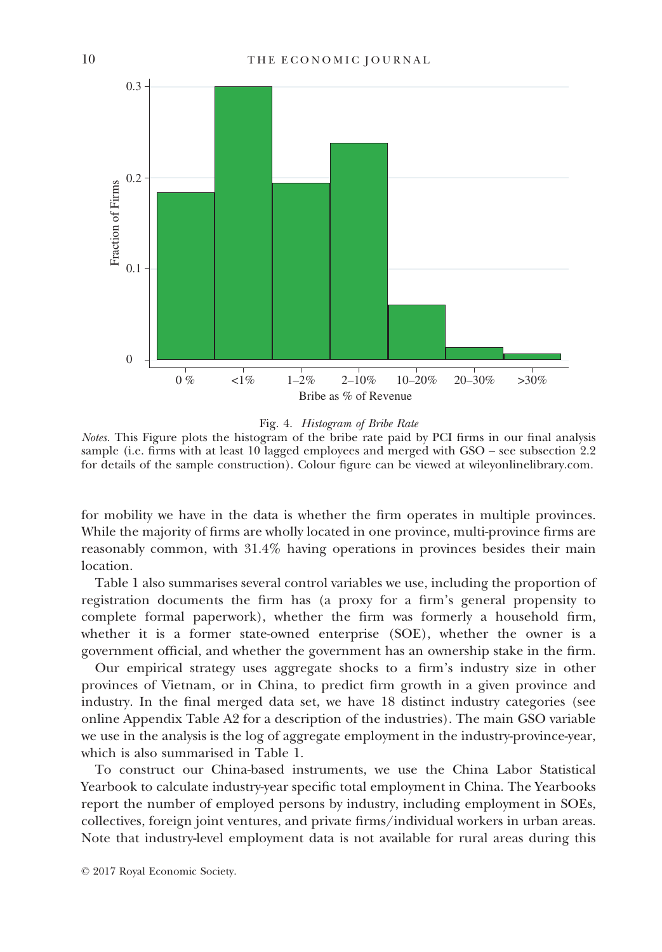

Fig. 4. Histogram of Bribe Rate

Notes. This Figure plots the histogram of the bribe rate paid by PCI firms in our final analysis sample (i.e. firms with at least 10 lagged employees and merged with GSO – see subsection 2.2 for details of the sample construction). Colour figure can be viewed at wileyonlinelibrary.com.

for mobility we have in the data is whether the firm operates in multiple provinces. While the majority of firms are wholly located in one province, multi-province firms are reasonably common, with 31.4% having operations in provinces besides their main location.

Table 1 also summarises several control variables we use, including the proportion of registration documents the firm has (a proxy for a firm's general propensity to complete formal paperwork), whether the firm was formerly a household firm, whether it is a former state-owned enterprise (SOE), whether the owner is a government official, and whether the government has an ownership stake in the firm.

Our empirical strategy uses aggregate shocks to a firm's industry size in other provinces of Vietnam, or in China, to predict firm growth in a given province and industry. In the final merged data set, we have 18 distinct industry categories (see online Appendix Table A2 for a description of the industries). The main GSO variable we use in the analysis is the log of aggregate employment in the industry-province-year, which is also summarised in Table 1.

To construct our China-based instruments, we use the China Labor Statistical Yearbook to calculate industry-year specific total employment in China. The Yearbooks report the number of employed persons by industry, including employment in SOEs, collectives, foreign joint ventures, and private firms/individual workers in urban areas. Note that industry-level employment data is not available for rural areas during this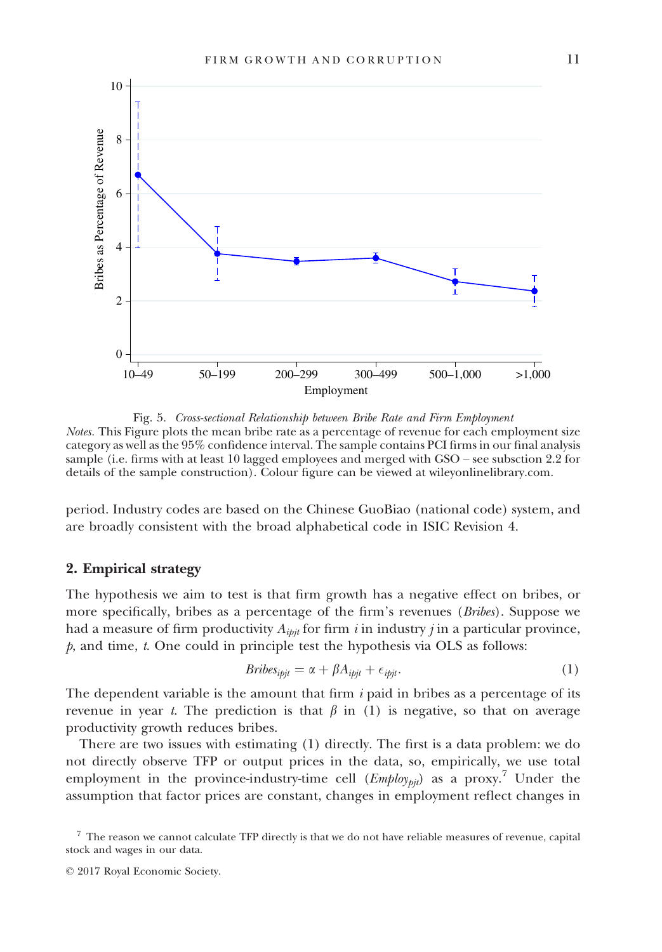

Fig. 5. Cross-sectional Relationship between Bribe Rate and Firm Employment Notes. This Figure plots the mean bribe rate as a percentage of revenue for each employment size category as well as the 95% confidence interval. The sample contains PCI firms in our final analysis sample (i.e. firms with at least 10 lagged employees and merged with GSO – see subsction 2.2 for details of the sample construction). Colour figure can be viewed at wileyonlinelibrary.com.

period. Industry codes are based on the Chinese GuoBiao (national code) system, and are broadly consistent with the broad alphabetical code in ISIC Revision 4.

### 2. Empirical strategy

The hypothesis we aim to test is that firm growth has a negative effect on bribes, or more specifically, bribes as a percentage of the firm's revenues (Bribes). Suppose we had a measure of firm productivity  $A_{init}$  for firm i in industry j in a particular province, *, and time,*  $*t*$ *. One could in principle test the hypothesis via OLS as follows:* 

$$
Bribes_{ipjt} = \alpha + \beta A_{ipjt} + \epsilon_{ipjt}.
$$
\n(1)

The dependent variable is the amount that firm  $i$  paid in bribes as a percentage of its revenue in year t. The prediction is that  $\beta$  in (1) is negative, so that on average productivity growth reduces bribes.

There are two issues with estimating (1) directly. The first is a data problem: we do not directly observe TFP or output prices in the data, so, empirically, we use total employment in the province-industry-time cell  $(Embloy_{pit})$  as a proxy.<sup>7</sup> Under the assumption that factor prices are constant, changes in employment reflect changes in

 $7$  The reason we cannot calculate TFP directly is that we do not have reliable measures of revenue, capital stock and wages in our data.

<sup>©</sup> 2017 Royal Economic Society.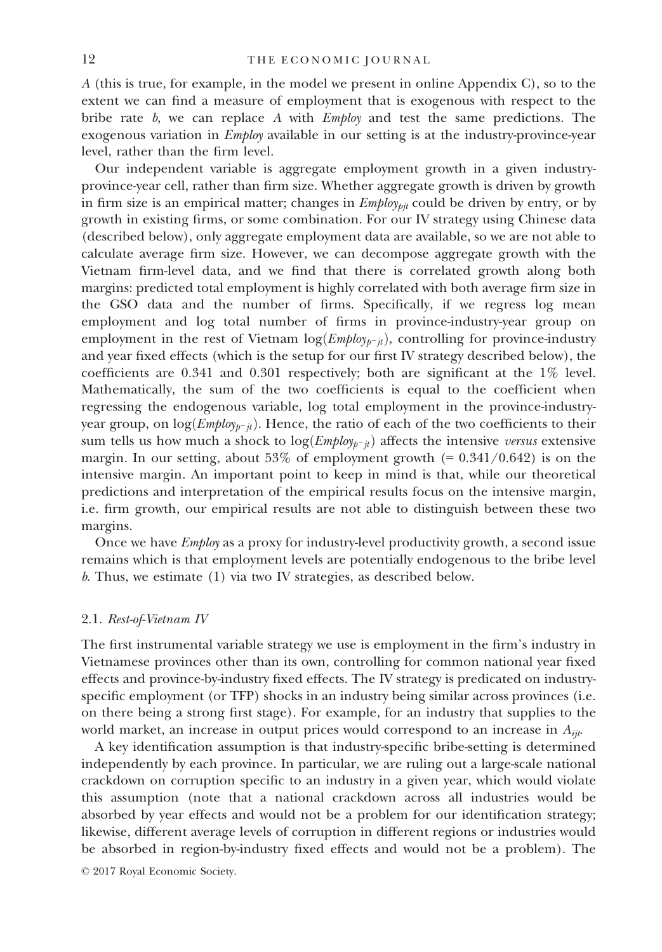A (this is true, for example, in the model we present in online Appendix C), so to the extent we can find a measure of employment that is exogenous with respect to the bribe rate  $b$ , we can replace  $A$  with  $Emblov$  and test the same predictions. The exogenous variation in *Employ* available in our setting is at the industry-province-year level, rather than the firm level.

Our independent variable is aggregate employment growth in a given industryprovince-year cell, rather than firm size. Whether aggregate growth is driven by growth in firm size is an empirical matter; changes in  $Emblov_{bit}$  could be driven by entry, or by growth in existing firms, or some combination. For our IV strategy using Chinese data (described below), only aggregate employment data are available, so we are not able to calculate average firm size. However, we can decompose aggregate growth with the Vietnam firm-level data, and we find that there is correlated growth along both margins: predicted total employment is highly correlated with both average firm size in the GSO data and the number of firms. Specifically, if we regress log mean employment and log total number of firms in province-industry-year group on employment in the rest of Vietnam  $log(Embloy_{p-jt})$ , controlling for province-industry and year fixed effects (which is the setup for our first IV strategy described below), the coefficients are 0.341 and 0.301 respectively; both are significant at the 1% level. Mathematically, the sum of the two coefficients is equal to the coefficient when regressing the endogenous variable, log total employment in the province-industryyear group, on  $\log(Emblop_{p^-jt})$ . Hence, the ratio of each of the two coefficients to their sum tells us how much a shock to  $log(Embloy_{p^-jt})$  affects the intensive versus extensive margin. In our setting, about 53% of employment growth  $(= 0.341/0.642)$  is on the intensive margin. An important point to keep in mind is that, while our theoretical predictions and interpretation of the empirical results focus on the intensive margin, i.e. firm growth, our empirical results are not able to distinguish between these two margins.

Once we have Employ as a proxy for industry-level productivity growth, a second issue remains which is that employment levels are potentially endogenous to the bribe level b. Thus, we estimate (1) via two IV strategies, as described below.

### 2.1. Rest-of-Vietnam IV

The first instrumental variable strategy we use is employment in the firm's industry in Vietnamese provinces other than its own, controlling for common national year fixed effects and province-by-industry fixed effects. The IV strategy is predicated on industryspecific employment (or TFP) shocks in an industry being similar across provinces (i.e. on there being a strong first stage). For example, for an industry that supplies to the world market, an increase in output prices would correspond to an increase in  $A_{ijt}$ .

A key identification assumption is that industry-specific bribe-setting is determined independently by each province. In particular, we are ruling out a large-scale national crackdown on corruption specific to an industry in a given year, which would violate this assumption (note that a national crackdown across all industries would be absorbed by year effects and would not be a problem for our identification strategy; likewise, different average levels of corruption in different regions or industries would be absorbed in region-by-industry fixed effects and would not be a problem). The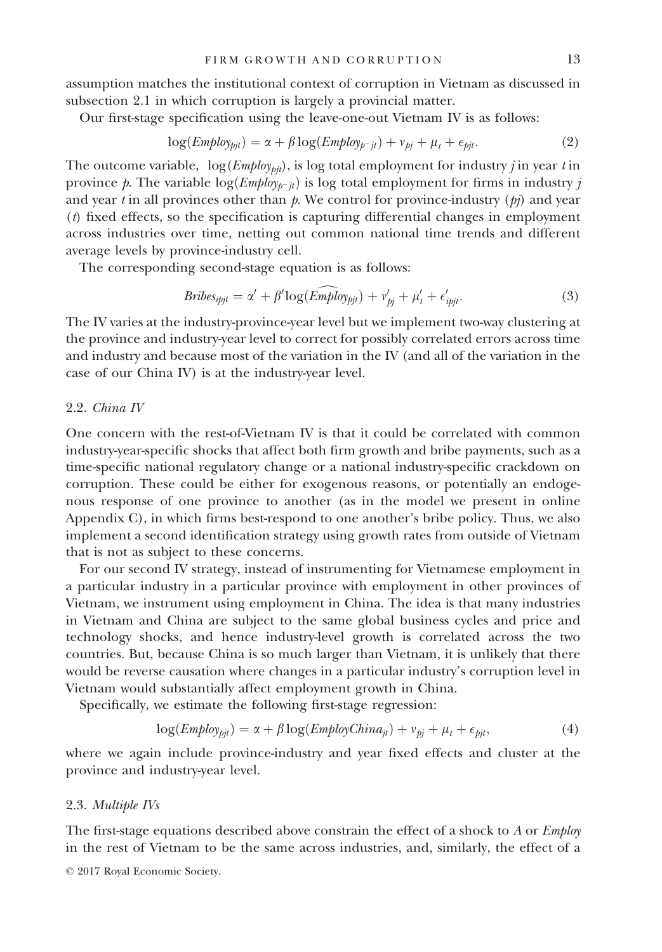assumption matches the institutional context of corruption in Vietnam as discussed in subsection 2.1 in which corruption is largely a provincial matter.

Our first-stage specification using the leave-one-out Vietnam IV is as follows:

$$
\log(Embloy_{pi}) = \alpha + \beta \log(Embloy_{p^{-}jt}) + v_{pj} + \mu_t + \epsilon_{pjt}.
$$
 (2)

The outcome variable,  $log(Emblov_{bit})$ , is log total employment for industry *j* in year *t* in province p. The variable  $log(Emblop_{p^-jt})$  is log total employment for firms in industry j and year t in all provinces other than  $\phi$ . We control for province-industry  $(\phi\eta)$  and year  $(t)$  fixed effects, so the specification is capturing differential changes in employment across industries over time, netting out common national time trends and different average levels by province-industry cell.

The corresponding second-stage equation is as follows:

$$
Bribes_{ipjt} = \alpha' + \beta' \log(\widehat{Emb} \,_{pjt}) + v'_{pj} + \mu'_t + \epsilon'_{ipjt}.
$$
\n<sup>(3)</sup>

The IV varies at the industry-province-year level but we implement two-way clustering at the province and industry-year level to correct for possibly correlated errors across time and industry and because most of the variation in the IV (and all of the variation in the case of our China IV) is at the industry-year level.

### 2.2. China IV

One concern with the rest-of-Vietnam IV is that it could be correlated with common industry-year-specific shocks that affect both firm growth and bribe payments, such as a time-specific national regulatory change or a national industry-specific crackdown on corruption. These could be either for exogenous reasons, or potentially an endogenous response of one province to another (as in the model we present in online Appendix C), in which firms best-respond to one another's bribe policy. Thus, we also implement a second identification strategy using growth rates from outside of Vietnam that is not as subject to these concerns.

For our second IV strategy, instead of instrumenting for Vietnamese employment in a particular industry in a particular province with employment in other provinces of Vietnam, we instrument using employment in China. The idea is that many industries in Vietnam and China are subject to the same global business cycles and price and technology shocks, and hence industry-level growth is correlated across the two countries. But, because China is so much larger than Vietnam, it is unlikely that there would be reverse causation where changes in a particular industry's corruption level in Vietnam would substantially affect employment growth in China.

Specifically, we estimate the following first-stage regression:

$$
\log(Embloy_{\mathit{pjt}}) = \alpha + \beta \log(EmbloyChina_{\mathit{jt}}) + v_{\mathit{pj}} + \mu_t + \epsilon_{\mathit{pjt}},\tag{4}
$$

where we again include province-industry and year fixed effects and cluster at the province and industry-year level.

### 2.3. Multiple IVs

The first-stage equations described above constrain the effect of a shock to  $A$  or  $Emblov$ in the rest of Vietnam to be the same across industries, and, similarly, the effect of a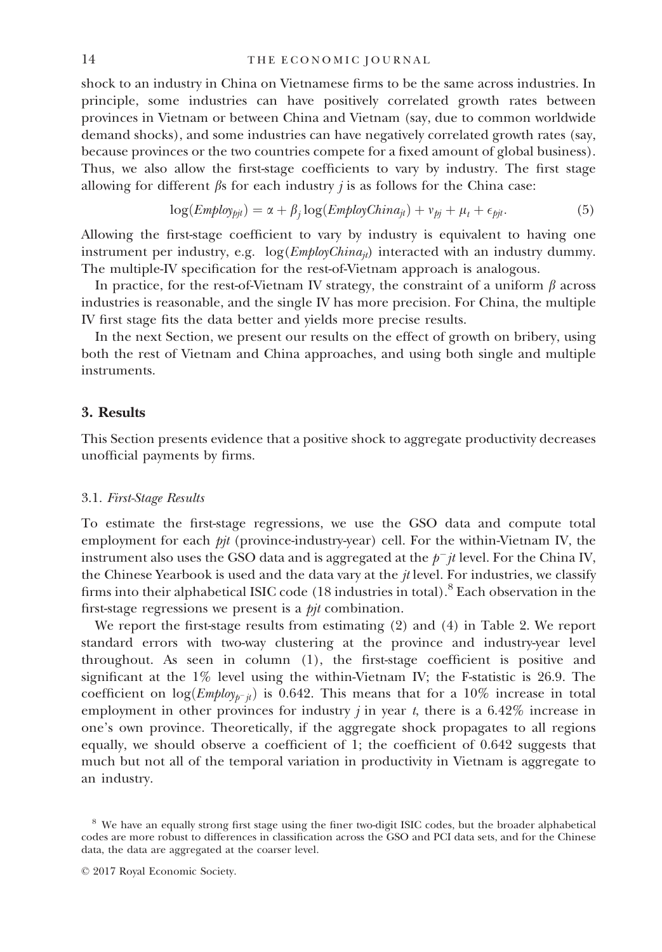shock to an industry in China on Vietnamese firms to be the same across industries. In principle, some industries can have positively correlated growth rates between provinces in Vietnam or between China and Vietnam (say, due to common worldwide demand shocks), and some industries can have negatively correlated growth rates (say, because provinces or the two countries compete for a fixed amount of global business). Thus, we also allow the first-stage coefficients to vary by industry. The first stage allowing for different  $\beta s$  for each industry *j* is as follows for the China case:

$$
\log(Embloy_{\mathit{pjt}}) = \alpha + \beta_j \log(EmbloyChina_{jt}) + v_{\mathit{pj}} + \mu_t + \epsilon_{\mathit{pjt}}.
$$
\n<sup>(5)</sup>

Allowing the first-stage coefficient to vary by industry is equivalent to having one instrument per industry, e.g.  $log(EmblovChina_{ii})$  interacted with an industry dummy. The multiple-IV specification for the rest-of-Vietnam approach is analogous.

In practice, for the rest-of-Vietnam IV strategy, the constraint of a uniform  $\beta$  across industries is reasonable, and the single IV has more precision. For China, the multiple IV first stage fits the data better and yields more precise results.

In the next Section, we present our results on the effect of growth on bribery, using both the rest of Vietnam and China approaches, and using both single and multiple instruments.

## 3. Results

This Section presents evidence that a positive shock to aggregate productivity decreases unofficial payments by firms.

#### 3.1. First-Stage Results

To estimate the first-stage regressions, we use the GSO data and compute total employment for each  $pjt$  (province-industry-year) cell. For the within-Vietnam IV, the instrument also uses the GSO data and is aggregated at the  $p^-{\it jt}$  level. For the China IV, the Chinese Yearbook is used and the data vary at the  $jt$  level. For industries, we classify firms into their alphabetical ISIC code (18 industries in total).<sup>8</sup> Each observation in the first-stage regressions we present is a  $pi$  combination.

We report the first-stage results from estimating (2) and (4) in Table 2. We report standard errors with two-way clustering at the province and industry-year level throughout. As seen in column (1), the first-stage coefficient is positive and significant at the 1% level using the within-Vietnam IV; the F-statistic is 26.9. The coefficient on  $log(Emblop_{p^-jt})$  is 0.642. This means that for a 10% increase in total employment in other provinces for industry  $j$  in year  $t$ , there is a 6.42% increase in one's own province. Theoretically, if the aggregate shock propagates to all regions equally, we should observe a coefficient of 1; the coefficient of 0.642 suggests that much but not all of the temporal variation in productivity in Vietnam is aggregate to an industry.

<sup>&</sup>lt;sup>8</sup> We have an equally strong first stage using the finer two-digit ISIC codes, but the broader alphabetical codes are more robust to differences in classification across the GSO and PCI data sets, and for the Chinese data, the data are aggregated at the coarser level.

<sup>©</sup> 2017 Royal Economic Society.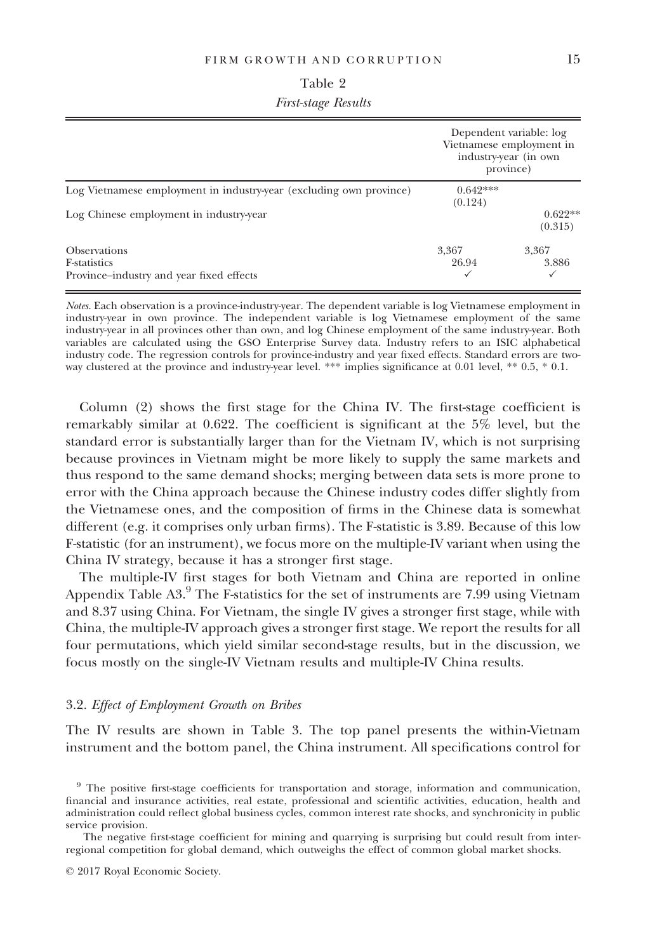|                                                                                         | Dependent variable: log<br>Vietnamese employment in<br>industry-year (in own<br>province) |                      |
|-----------------------------------------------------------------------------------------|-------------------------------------------------------------------------------------------|----------------------|
| Log Vietnamese employment in industry-year (excluding own province)                     | $0.642***$<br>(0.124)                                                                     |                      |
| Log Chinese employment in industry-year                                                 |                                                                                           | $0.622**$<br>(0.315) |
| <b>Observations</b><br><b>F</b> -statistics<br>Province-industry and year fixed effects | 3,367<br>26.94<br>✓                                                                       | 3.367<br>3.886<br>✓  |

# Table 2 First-stage Results

Notes. Each observation is a province-industry-year. The dependent variable is log Vietnamese employment in industry-year in own province. The independent variable is log Vietnamese employment of the same industry-year in all provinces other than own, and log Chinese employment of the same industry-year. Both variables are calculated using the GSO Enterprise Survey data. Industry refers to an ISIC alphabetical industry code. The regression controls for province-industry and year fixed effects. Standard errors are twoway clustered at the province and industry-year level. \*\*\* implies significance at 0.01 level, \*\* 0.5, \* 0.1.

Column (2) shows the first stage for the China IV. The first-stage coefficient is remarkably similar at 0.622. The coefficient is significant at the 5% level, but the standard error is substantially larger than for the Vietnam IV, which is not surprising because provinces in Vietnam might be more likely to supply the same markets and thus respond to the same demand shocks; merging between data sets is more prone to error with the China approach because the Chinese industry codes differ slightly from the Vietnamese ones, and the composition of firms in the Chinese data is somewhat different (e.g. it comprises only urban firms). The F-statistic is 3.89. Because of this low F-statistic (for an instrument), we focus more on the multiple-IV variant when using the China IV strategy, because it has a stronger first stage.

The multiple-IV first stages for both Vietnam and China are reported in online Appendix Table A3.<sup>9</sup> The F-statistics for the set of instruments are 7.99 using Vietnam and 8.37 using China. For Vietnam, the single IV gives a stronger first stage, while with China, the multiple-IV approach gives a stronger first stage. We report the results for all four permutations, which yield similar second-stage results, but in the discussion, we focus mostly on the single-IV Vietnam results and multiple-IV China results.

### 3.2. Effect of Employment Growth on Bribes

The IV results are shown in Table 3. The top panel presents the within-Vietnam instrument and the bottom panel, the China instrument. All specifications control for

<sup>&</sup>lt;sup>9</sup> The positive first-stage coefficients for transportation and storage, information and communication, financial and insurance activities, real estate, professional and scientific activities, education, health and administration could reflect global business cycles, common interest rate shocks, and synchronicity in public service provision.

The negative first-stage coefficient for mining and quarrying is surprising but could result from interregional competition for global demand, which outweighs the effect of common global market shocks.

<sup>©</sup> 2017 Royal Economic Society.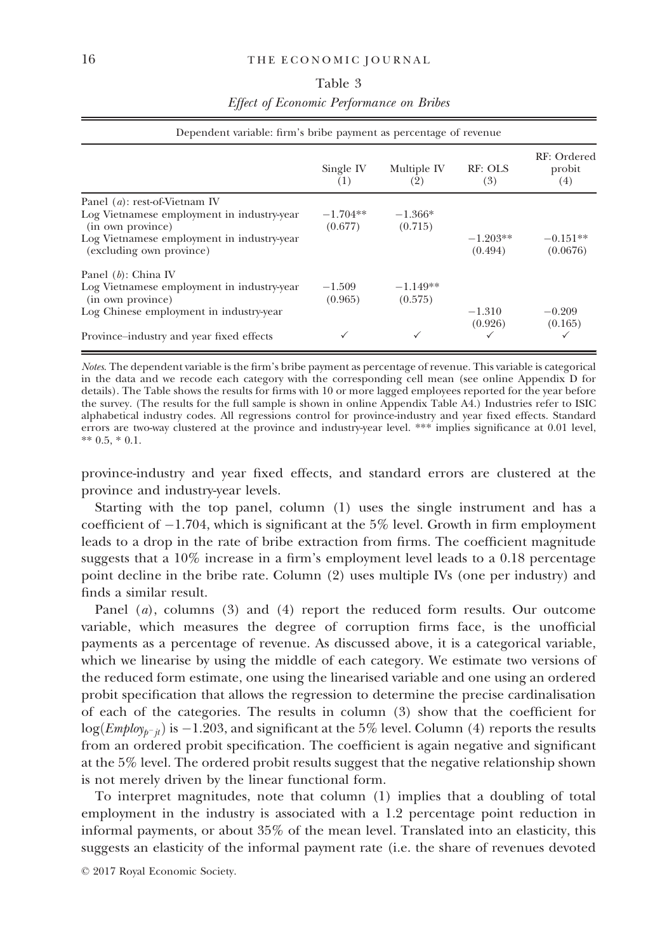| Table 3                                  |
|------------------------------------------|
| Effect of Economic Performance on Bribes |

| Dependent variable: firm's bribe payment as percentage of revenue |                  |                    |                |                              |
|-------------------------------------------------------------------|------------------|--------------------|----------------|------------------------------|
|                                                                   | Single IV<br>(1) | Multiple IV<br>(2) | RF: OLS<br>(3) | RF: Ordered<br>probit<br>(4) |
| Panel $(a)$ : rest-of-Vietnam IV                                  |                  |                    |                |                              |
| Log Vietnamese employment in industry-year                        | $-1.704**$       | $-1.366*$          |                |                              |
| (in own province)                                                 | (0.677)          | (0.715)            |                |                              |
| Log Vietnamese employment in industry-year                        |                  |                    | $-1.203**$     | $-0.151**$                   |
| (excluding own province)                                          |                  |                    | (0.494)        | (0.0676)                     |
| Panel $(b)$ : China IV                                            |                  |                    |                |                              |
| Log Vietnamese employment in industry-year                        | $-1.509$         | $-1.149**$         |                |                              |
| (in own province)                                                 | (0.965)          | (0.575)            |                |                              |
| Log Chinese employment in industry-year                           |                  |                    | $-1.310$       | $-0.209$                     |
|                                                                   |                  |                    | (0.926)        | (0.165)                      |
| Province-industry and year fixed effects                          | $\checkmark$     | $\checkmark$       | ✓              | ✓                            |

Notes. The dependent variable is the firm's bribe payment as percentage of revenue. This variable is categorical in the data and we recode each category with the corresponding cell mean (see online Appendix D for details). The Table shows the results for firms with 10 or more lagged employees reported for the year before the survey. (The results for the full sample is shown in online Appendix Table A4.) Industries refer to ISIC alphabetical industry codes. All regressions control for province-industry and year fixed effects. Standard errors are two-way clustered at the province and industry-year level. \*\*\* implies significance at 0.01 level,  $** 0.5, * 0.1.$ 

province-industry and year fixed effects, and standard errors are clustered at the province and industry-year levels.

Starting with the top panel, column (1) uses the single instrument and has a  $\alpha$  coefficient of  $-1.704$ , which is significant at the  $5\%$  level. Growth in firm employment leads to a drop in the rate of bribe extraction from firms. The coefficient magnitude suggests that a 10% increase in a firm's employment level leads to a 0.18 percentage point decline in the bribe rate. Column (2) uses multiple IVs (one per industry) and finds a similar result.

Panel (a), columns (3) and (4) report the reduced form results. Our outcome variable, which measures the degree of corruption firms face, is the unofficial payments as a percentage of revenue. As discussed above, it is a categorical variable, which we linearise by using the middle of each category. We estimate two versions of the reduced form estimate, one using the linearised variable and one using an ordered probit specification that allows the regression to determine the precise cardinalisation of each of the categories. The results in column (3) show that the coefficient for  $\log (Embloy_{p^-jt})$  is  $-1.203$ , and significant at the  $5\%$  level. Column (4) reports the results from an ordered probit specification. The coefficient is again negative and significant at the 5% level. The ordered probit results suggest that the negative relationship shown is not merely driven by the linear functional form.

To interpret magnitudes, note that column (1) implies that a doubling of total employment in the industry is associated with a 1.2 percentage point reduction in informal payments, or about 35% of the mean level. Translated into an elasticity, this suggests an elasticity of the informal payment rate (i.e. the share of revenues devoted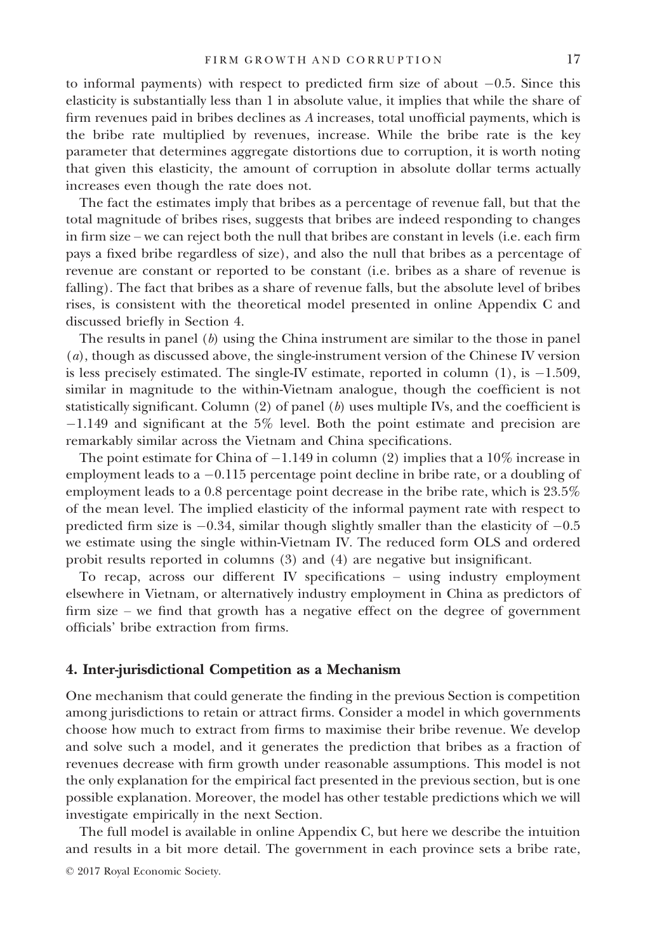to informal payments) with respect to predicted firm size of about -0.5. Since this elasticity is substantially less than 1 in absolute value, it implies that while the share of firm revenues paid in bribes declines as A increases, total unofficial payments, which is the bribe rate multiplied by revenues, increase. While the bribe rate is the key parameter that determines aggregate distortions due to corruption, it is worth noting that given this elasticity, the amount of corruption in absolute dollar terms actually increases even though the rate does not.

The fact the estimates imply that bribes as a percentage of revenue fall, but that the total magnitude of bribes rises, suggests that bribes are indeed responding to changes in firm size – we can reject both the null that bribes are constant in levels (i.e. each firm pays a fixed bribe regardless of size), and also the null that bribes as a percentage of revenue are constant or reported to be constant (i.e. bribes as a share of revenue is falling). The fact that bribes as a share of revenue falls, but the absolute level of bribes rises, is consistent with the theoretical model presented in online Appendix C and discussed briefly in Section 4.

The results in panel  $(b)$  using the China instrument are similar to the those in panel (a), though as discussed above, the single-instrument version of the Chinese IV version is less precisely estimated. The single-IV estimate, reported in column  $(1)$ , is  $-1.509$ , similar in magnitude to the within-Vietnam analogue, though the coefficient is not statistically significant. Column  $(2)$  of panel  $(b)$  uses multiple IVs, and the coefficient is -1.149 and significant at the 5% level. Both the point estimate and precision are remarkably similar across the Vietnam and China specifications.

The point estimate for China of  $-1.149$  in column (2) implies that a  $10\%$  increase in employment leads to a -0.115 percentage point decline in bribe rate, or a doubling of employment leads to a 0.8 percentage point decrease in the bribe rate, which is 23.5% of the mean level. The implied elasticity of the informal payment rate with respect to predicted firm size is  $-0.34$ , similar though slightly smaller than the elasticity of  $-0.5$ we estimate using the single within-Vietnam IV. The reduced form OLS and ordered probit results reported in columns (3) and (4) are negative but insignificant.

To recap, across our different IV specifications – using industry employment elsewhere in Vietnam, or alternatively industry employment in China as predictors of firm size – we find that growth has a negative effect on the degree of government officials' bribe extraction from firms.

### 4. Inter-jurisdictional Competition as a Mechanism

One mechanism that could generate the finding in the previous Section is competition among jurisdictions to retain or attract firms. Consider a model in which governments choose how much to extract from firms to maximise their bribe revenue. We develop and solve such a model, and it generates the prediction that bribes as a fraction of revenues decrease with firm growth under reasonable assumptions. This model is not the only explanation for the empirical fact presented in the previous section, but is one possible explanation. Moreover, the model has other testable predictions which we will investigate empirically in the next Section.

The full model is available in online Appendix C, but here we describe the intuition and results in a bit more detail. The government in each province sets a bribe rate,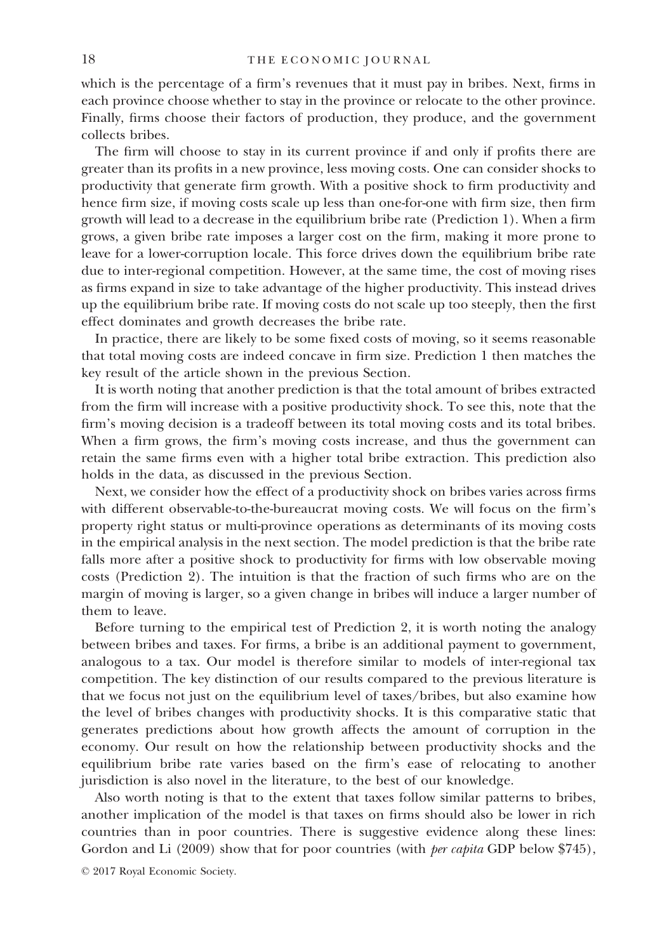which is the percentage of a firm's revenues that it must pay in bribes. Next, firms in each province choose whether to stay in the province or relocate to the other province. Finally, firms choose their factors of production, they produce, and the government collects bribes.

The firm will choose to stay in its current province if and only if profits there are greater than its profits in a new province, less moving costs. One can consider shocks to productivity that generate firm growth. With a positive shock to firm productivity and hence firm size, if moving costs scale up less than one-for-one with firm size, then firm growth will lead to a decrease in the equilibrium bribe rate (Prediction 1). When a firm grows, a given bribe rate imposes a larger cost on the firm, making it more prone to leave for a lower-corruption locale. This force drives down the equilibrium bribe rate due to inter-regional competition. However, at the same time, the cost of moving rises as firms expand in size to take advantage of the higher productivity. This instead drives up the equilibrium bribe rate. If moving costs do not scale up too steeply, then the first effect dominates and growth decreases the bribe rate.

In practice, there are likely to be some fixed costs of moving, so it seems reasonable that total moving costs are indeed concave in firm size. Prediction 1 then matches the key result of the article shown in the previous Section.

It is worth noting that another prediction is that the total amount of bribes extracted from the firm will increase with a positive productivity shock. To see this, note that the firm's moving decision is a tradeoff between its total moving costs and its total bribes. When a firm grows, the firm's moving costs increase, and thus the government can retain the same firms even with a higher total bribe extraction. This prediction also holds in the data, as discussed in the previous Section.

Next, we consider how the effect of a productivity shock on bribes varies across firms with different observable-to-the-bureaucrat moving costs. We will focus on the firm's property right status or multi-province operations as determinants of its moving costs in the empirical analysis in the next section. The model prediction is that the bribe rate falls more after a positive shock to productivity for firms with low observable moving costs (Prediction 2). The intuition is that the fraction of such firms who are on the margin of moving is larger, so a given change in bribes will induce a larger number of them to leave.

Before turning to the empirical test of Prediction 2, it is worth noting the analogy between bribes and taxes. For firms, a bribe is an additional payment to government, analogous to a tax. Our model is therefore similar to models of inter-regional tax competition. The key distinction of our results compared to the previous literature is that we focus not just on the equilibrium level of taxes/bribes, but also examine how the level of bribes changes with productivity shocks. It is this comparative static that generates predictions about how growth affects the amount of corruption in the economy. Our result on how the relationship between productivity shocks and the equilibrium bribe rate varies based on the firm's ease of relocating to another jurisdiction is also novel in the literature, to the best of our knowledge.

Also worth noting is that to the extent that taxes follow similar patterns to bribes, another implication of the model is that taxes on firms should also be lower in rich countries than in poor countries. There is suggestive evidence along these lines: Gordon and Li (2009) show that for poor countries (with *per capita* GDP below \$745),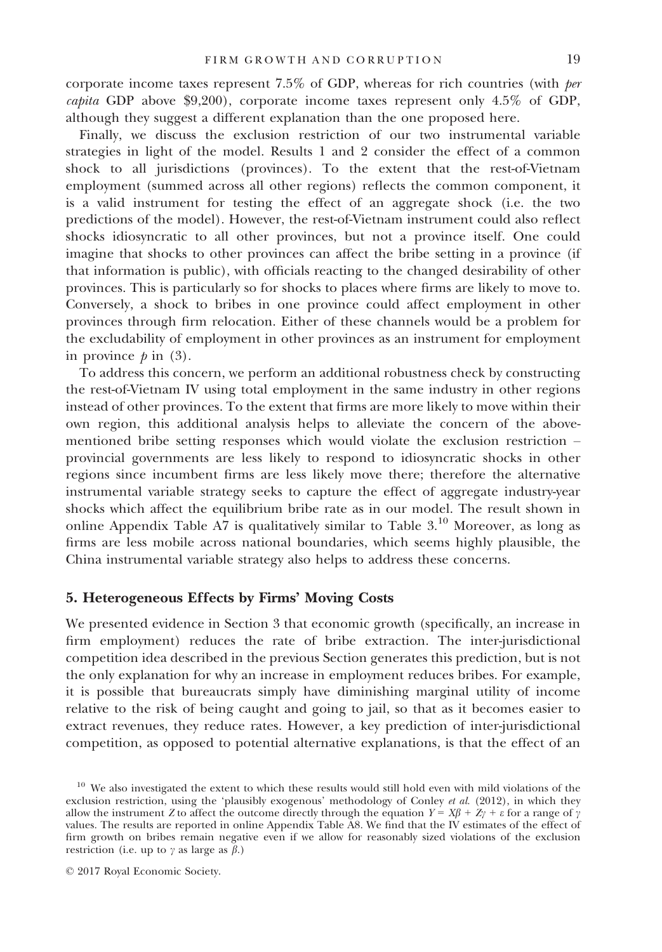corporate income taxes represent 7.5% of GDP, whereas for rich countries (with per capita GDP above \$9,200), corporate income taxes represent only 4.5% of GDP, although they suggest a different explanation than the one proposed here.

Finally, we discuss the exclusion restriction of our two instrumental variable strategies in light of the model. Results 1 and 2 consider the effect of a common shock to all jurisdictions (provinces). To the extent that the rest-of-Vietnam employment (summed across all other regions) reflects the common component, it is a valid instrument for testing the effect of an aggregate shock (i.e. the two predictions of the model). However, the rest-of-Vietnam instrument could also reflect shocks idiosyncratic to all other provinces, but not a province itself. One could imagine that shocks to other provinces can affect the bribe setting in a province (if that information is public), with officials reacting to the changed desirability of other provinces. This is particularly so for shocks to places where firms are likely to move to. Conversely, a shock to bribes in one province could affect employment in other provinces through firm relocation. Either of these channels would be a problem for the excludability of employment in other provinces as an instrument for employment in province  $p$  in (3).

To address this concern, we perform an additional robustness check by constructing the rest-of-Vietnam IV using total employment in the same industry in other regions instead of other provinces. To the extent that firms are more likely to move within their own region, this additional analysis helps to alleviate the concern of the abovementioned bribe setting responses which would violate the exclusion restriction – provincial governments are less likely to respond to idiosyncratic shocks in other regions since incumbent firms are less likely move there; therefore the alternative instrumental variable strategy seeks to capture the effect of aggregate industry-year shocks which affect the equilibrium bribe rate as in our model. The result shown in online Appendix Table  $A\bar{7}$  is qualitatively similar to Table  $3.^{10}$  Moreover, as long as firms are less mobile across national boundaries, which seems highly plausible, the China instrumental variable strategy also helps to address these concerns.

## 5. Heterogeneous Effects by Firms' Moving Costs

We presented evidence in Section 3 that economic growth (specifically, an increase in firm employment) reduces the rate of bribe extraction. The inter-jurisdictional competition idea described in the previous Section generates this prediction, but is not the only explanation for why an increase in employment reduces bribes. For example, it is possible that bureaucrats simply have diminishing marginal utility of income relative to the risk of being caught and going to jail, so that as it becomes easier to extract revenues, they reduce rates. However, a key prediction of inter-jurisdictional competition, as opposed to potential alternative explanations, is that the effect of an

<sup>&</sup>lt;sup>10</sup> We also investigated the extent to which these results would still hold even with mild violations of the exclusion restriction, using the 'plausibly exogenous' methodology of Conley et al. (2012), in which they allow the instrument Z to affect the outcome directly through the equation  $Y = X\beta + Z\gamma + \varepsilon$  for a range of  $\gamma$ values. The results are reported in online Appendix Table A8. We find that the IV estimates of the effect of firm growth on bribes remain negative even if we allow for reasonably sized violations of the exclusion restriction (i.e. up to  $\gamma$  as large as  $\beta$ .)

<sup>©</sup> 2017 Royal Economic Society.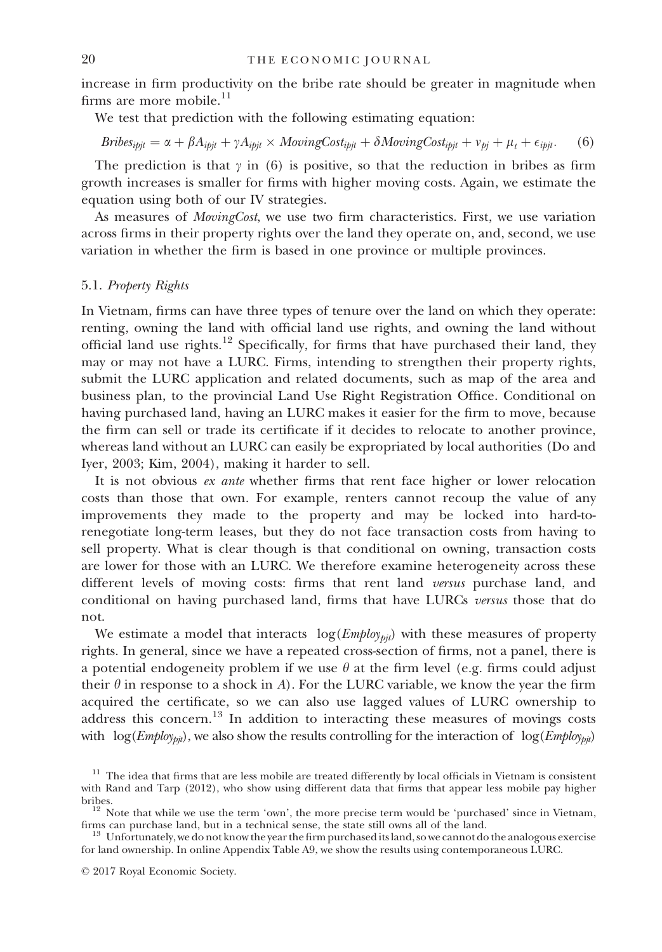increase in firm productivity on the bribe rate should be greater in magnitude when firms are more mobile.<sup>11</sup>

We test that prediction with the following estimating equation:

 $Bribes_{ipjt} = \alpha + \beta A_{ipjt} + \gamma A_{ipjt} \times MovingCost_{ipjt} + \delta MovingCost_{ipjt} + v_{pj} + \mu_t + \epsilon_{ipjt}$ . (6)

The prediction is that  $\gamma$  in (6) is positive, so that the reduction in bribes as firm growth increases is smaller for firms with higher moving costs. Again, we estimate the equation using both of our IV strategies.

As measures of MovingCost, we use two firm characteristics. First, we use variation across firms in their property rights over the land they operate on, and, second, we use variation in whether the firm is based in one province or multiple provinces.

#### 5.1. Property Rights

In Vietnam, firms can have three types of tenure over the land on which they operate: renting, owning the land with official land use rights, and owning the land without official land use rights.<sup>12</sup> Specifically, for firms that have purchased their land, they may or may not have a LURC. Firms, intending to strengthen their property rights, submit the LURC application and related documents, such as map of the area and business plan, to the provincial Land Use Right Registration Office. Conditional on having purchased land, having an LURC makes it easier for the firm to move, because the firm can sell or trade its certificate if it decides to relocate to another province, whereas land without an LURC can easily be expropriated by local authorities (Do and Iyer, 2003; Kim, 2004), making it harder to sell.

It is not obvious ex ante whether firms that rent face higher or lower relocation costs than those that own. For example, renters cannot recoup the value of any improvements they made to the property and may be locked into hard-torenegotiate long-term leases, but they do not face transaction costs from having to sell property. What is clear though is that conditional on owning, transaction costs are lower for those with an LURC. We therefore examine heterogeneity across these different levels of moving costs: firms that rent land versus purchase land, and conditional on having purchased land, firms that have LURCs versus those that do not.

We estimate a model that interacts  $log(Embloy_{bit})$  with these measures of property rights. In general, since we have a repeated cross-section of firms, not a panel, there is a potential endogeneity problem if we use  $\theta$  at the firm level (e.g. firms could adjust their  $\theta$  in response to a shock in A). For the LURC variable, we know the year the firm acquired the certificate, so we can also use lagged values of LURC ownership to address this concern.<sup>13</sup> In addition to interacting these measures of movings costs with  $log(Embloy_{bil})$ , we also show the results controlling for the interaction of  $log(Embloy_{bil})$ 

<sup>&</sup>lt;sup>11</sup> The idea that firms that are less mobile are treated differently by local officials in Vietnam is consistent with Rand and Tarp (2012), who show using different data that firms that appear less mobile pay higher

bribes.<br><sup>12</sup> Note that while we use the term 'own', the more precise term would be 'purchased' since in Vietnam, firms can purchase land, but in a technical sense, the state still owns all of the land.

 $13$  Unfortunately, we do not know the year the firm purchased its land, so we cannot do the analogous exercise for land ownership. In online Appendix Table A9, we show the results using contemporaneous LURC.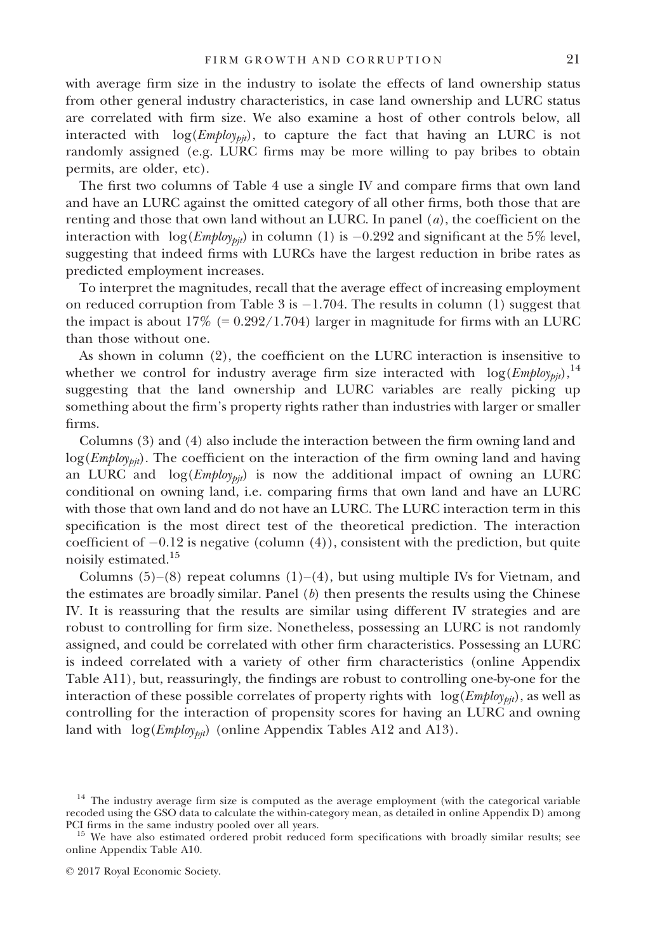with average firm size in the industry to isolate the effects of land ownership status from other general industry characteristics, in case land ownership and LURC status are correlated with firm size. We also examine a host of other controls below, all interacted with  $log(Embov_{bit})$ , to capture the fact that having an LURC is not randomly assigned (e.g. LURC firms may be more willing to pay bribes to obtain permits, are older, etc).

The first two columns of Table 4 use a single IV and compare firms that own land and have an LURC against the omitted category of all other firms, both those that are renting and those that own land without an LURC. In panel  $(a)$ , the coefficient on the interaction with  $log(Embloy_{pjt})$  in column (1) is  $-0.292$  and significant at the  $5\%$  level, suggesting that indeed firms with LURCs have the largest reduction in bribe rates as predicted employment increases.

To interpret the magnitudes, recall that the average effect of increasing employment on reduced corruption from Table  $3$  is  $-1.704$ . The results in column (1) suggest that the impact is about  $17\%$  (= 0.292/1.704) larger in magnitude for firms with an LURC than those without one.

As shown in column (2), the coefficient on the LURC interaction is insensitive to whether we control for industry average firm size interacted with  $\log(\frac{Embloy_{pi}}{14})$ ,<sup>14</sup> suggesting that the land ownership and LURC variables are really picking up something about the firm's property rights rather than industries with larger or smaller firms.

Columns (3) and (4) also include the interaction between the firm owning land and  $log(Embloy_{bit})$ . The coefficient on the interaction of the firm owning land and having an LURC and  $log(Embloy_{pi})$  is now the additional impact of owning an LURC conditional on owning land, i.e. comparing firms that own land and have an LURC with those that own land and do not have an LURC. The LURC interaction term in this specification is the most direct test of the theoretical prediction. The interaction coefficient of  $-0.12$  is negative (column (4)), consistent with the prediction, but quite noisily estimated.<sup>15</sup>

Columns  $(5)-(8)$  repeat columns  $(1)-(4)$ , but using multiple IVs for Vietnam, and the estimates are broadly similar. Panel  $(b)$  then presents the results using the Chinese IV. It is reassuring that the results are similar using different IV strategies and are robust to controlling for firm size. Nonetheless, possessing an LURC is not randomly assigned, and could be correlated with other firm characteristics. Possessing an LURC is indeed correlated with a variety of other firm characteristics (online Appendix Table A11), but, reassuringly, the findings are robust to controlling one-by-one for the interaction of these possible correlates of property rights with  $log(Embloy_{bit})$ , as well as controlling for the interaction of propensity scores for having an LURC and owning land with  $log(Embloy_{bit})$  (online Appendix Tables A12 and A13).

<sup>&</sup>lt;sup>14</sup> The industry average firm size is computed as the average employment (with the categorical variable recoded using the GSO data to calculate the within-category mean, as detailed in online Appendix D) among

 $^{15}$  We have also estimated ordered probit reduced form specifications with broadly similar results; see online Appendix Table A10.

<sup>©</sup> 2017 Royal Economic Society.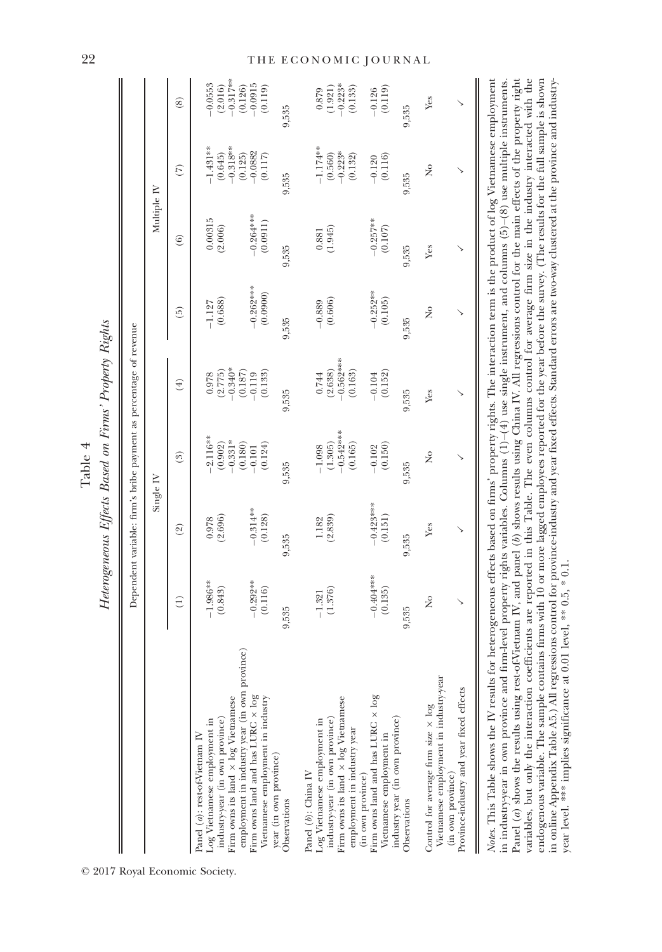|            | h h                     |
|------------|-------------------------|
|            |                         |
|            |                         |
| $\ddot{ }$ | $\overline{\omega}$     |
| Table      | $\cdot$ Basea $\cdot$ . |
|            | r ort<br>r<br>F         |
|            | l<br>una an             |

© 2017 Royal Economic Society.

|                                                                                                                                                                                                                               |                          |                                 | Single IV                                                           |                                                            |                         | Multiple IV                                       |                                             |                                    |
|-------------------------------------------------------------------------------------------------------------------------------------------------------------------------------------------------------------------------------|--------------------------|---------------------------------|---------------------------------------------------------------------|------------------------------------------------------------|-------------------------|---------------------------------------------------|---------------------------------------------|------------------------------------|
|                                                                                                                                                                                                                               | $\widehat{\Xi}$          | $\widehat{2}$                   | $\binom{3}{2}$                                                      | $(\pm)$                                                    | $\binom{5}{2}$          | $\widehat{\mathbf{e}}$                            | $\widehat{C}$                               | $\circledS$                        |
| Firm owns its land $\times$ log Vietnamese<br>industry-year (in own province)<br>Log Vietnamese employment in<br>Panel (a): rest-of-Vietnam IV                                                                                | $-1.986**$<br>(0.843)    | (2.696)<br>$\boldsymbol{0.978}$ | $\begin{array}{r} -2.116^{**} \\ (0.902) \\ -0.331^{*} \end{array}$ | $\begin{array}{c} 0.978 \\ (2.775) \\ -0.340* \end{array}$ | (0.688)<br>$-1.127$     | $\begin{array}{c} 0.00315 \\ (2.006) \end{array}$ | $-1.431**$<br>$(0.645)$<br>-0.318**         | $(2.016)$<br>-0.317**<br>$-0.0553$ |
| province)<br>employment in industry year (in own Firm owns land and has LURC $\times$ $\log$<br>Vietnamese employment in industry<br>year (in own province)                                                                   | $-0.292***$<br>(0.116)   | $-0.314**$<br>(0.128)           | $(0.180)$<br>-0.101<br>(0.124)                                      | $\underset{-0.119}{\scriptstyle(0.187)}$<br>(0.133)        | $-0.262***$<br>(0.0900) | $-0.264***$<br>(0.0911)                           | $(0.125)$<br>-0.0882<br>(0.117)             | $(0.126)$<br>-0.0915<br>(0.119)    |
| Observations                                                                                                                                                                                                                  | 9,535                    | 9,535                           | 9,535                                                               | 9,535                                                      | 9,535                   | 9,535                                             | 9,535                                       | 9,535                              |
| Firm owns its land x log Vietnamese<br>industry-year (in own province)<br>Log Vietnamese employment in<br>$\begin{array}{c} \mbox{emplogment in industry year}\\ \mbox{(in own province)} \end{array}$<br>Panel (b): China IV | $\frac{-1.321}{(1.376)}$ | $\frac{1.182}{(2.839)}$         | $-1.098$<br>(1.305)<br>$-0.542***$<br>(0.165)                       | $(2.638)$<br>-0.562***<br>(0.163)<br>0.744                 | $-0.889$<br>(0.606)     | $\frac{0.881}{(1.945)}$                           | $-1.174**$<br>(0.560)<br>-0.223*<br>(0.132) | $-0.223*$<br>(0.133)<br>(1.921)    |
| Firm owns land and has LURC $\times$ log<br>Vietnamese employment in                                                                                                                                                          | $-0.404***$<br>(0.135)   | $-0.423***$<br>(0.151)          | (0.150)<br>$-0.102$                                                 | (0.152)<br>$-0.104$                                        | $-0.252***$<br>(0.105)  | $-0.257***$<br>(0.107)                            | (0.116)<br>$-0.120$                         | (0.119)<br>$-0.126$                |
| industry year (in own province)<br>Observations                                                                                                                                                                               | 9,535                    | 9,535                           | 9,535                                                               | 9,535                                                      | 9,535                   | 9,535                                             | 9,535                                       | 9,535                              |
| Vietnamese employment in industry-year<br>Control for average firm size x log                                                                                                                                                 | $\tilde{z}$              | Yes                             | ž                                                                   | Yes                                                        | ż                       | Yes                                               | $\tilde{z}$                                 | Yes                                |
| Province-industry and year fixed effects<br>(in own province)                                                                                                                                                                 |                          |                                 |                                                                     |                                                            |                         |                                                   |                                             |                                    |
|                                                                                                                                                                                                                               |                          |                                 |                                                                     |                                                            |                         |                                                   |                                             |                                    |

Notes. This Table shows the IV results for heterogeneous effects based on firms' property rights. The interaction term is the product of log Vietnamese employment n industry-year in own province and firm-level property rights variables. Columns  $(1)-(4)$  use single instrument, and columns  $(5)-(8)$  use multiple instruments. Panel (a) shows the results using rest-of-Vietnam IV, and panel (b) shows results using China IV. All regressions control for the main effects of the property right variables, but only the interaction coefficients are reported in this Table. The even columns control for average firm size in the industry interacted with the endogenous variable. The sample contains firms with 10 or more lagged employees reported for the year before the survey. (The results for the full sample is shown exances and an analyzing community control for province-industry and year fixed effects. Standard errors are two-way clustered at the province and industry-<br>wear level. \*\*\* implies significance at 0.01 level, \*\* 0.5, \* 0.1 Notes. This Table shows the IV results for heterogeneous effects based on firms' property rights. The interaction term is the product of log Vietnamese employment Panel (a) shows the results using rest-of-Vietnam IV, and panel (b) shows results using China IV. All regressions control for the main effects of the property right in online Appendix Table A5.) All regressions control for province-industry and year fixed effects. Standard errors are two-way clustered at the province and industryin industry-year in own province and firm-level property rights variables. Columns (1)–(4) use single instrument, and columns (5)–(8) use multiple instruments. variables, but only the interaction coefficients are reported in this Table. The even columns control for average firm size in the industry interacted with the endogenous variable. The sample contains firms with 10 or more lagged employees reported for the year before the survey. (The results for the full sample is shown year level. \*\*\* implies significance at 0.01 level, \*\* 0.5, \* 0.1.

# 22 THE ECONOMIC JOURNAL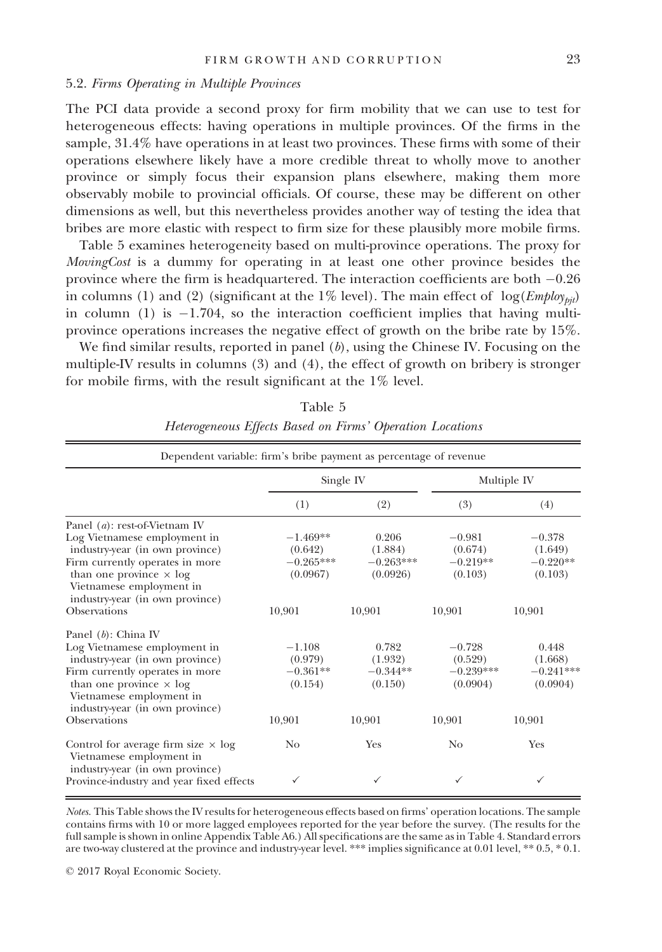### 5.2. Firms Operating in Multiple Provinces

The PCI data provide a second proxy for firm mobility that we can use to test for heterogeneous effects: having operations in multiple provinces. Of the firms in the sample, 31.4% have operations in at least two provinces. These firms with some of their operations elsewhere likely have a more credible threat to wholly move to another province or simply focus their expansion plans elsewhere, making them more observably mobile to provincial officials. Of course, these may be different on other dimensions as well, but this nevertheless provides another way of testing the idea that bribes are more elastic with respect to firm size for these plausibly more mobile firms.

Table 5 examines heterogeneity based on multi-province operations. The proxy for MovingCost is a dummy for operating in at least one other province besides the province where the firm is headquartered. The interaction coefficients are both -0.26 in columns (1) and (2) (significant at the 1% level). The main effect of  $log(Embloy_{bil})$ in column (1) is  $-1.704$ , so the interaction coefficient implies that having multiprovince operations increases the negative effect of growth on the bribe rate by 15%.

We find similar results, reported in panel  $(b)$ , using the Chinese IV. Focusing on the multiple-IV results in columns (3) and (4), the effect of growth on bribery is stronger for mobile firms, with the result significant at the  $1\%$  level.

| Dependent variable: firm's bribe payment as percentage of revenue                             |                |              |                |             |  |
|-----------------------------------------------------------------------------------------------|----------------|--------------|----------------|-------------|--|
|                                                                                               |                | Single IV    |                | Multiple IV |  |
|                                                                                               | (1)            | (2)          | (3)            | (4)         |  |
| Panel (a): rest-of-Vietnam IV                                                                 |                |              |                |             |  |
| Log Vietnamese employment in                                                                  | $-1.469**$     | 0.206        | $-0.981$       | $-0.378$    |  |
| industry-year (in own province)                                                               | (0.642)        | (1.884)      | (0.674)        | (1.649)     |  |
| Firm currently operates in more                                                               | $-0.265***$    | $-0.263***$  | $-0.219**$     | $-0.220**$  |  |
| than one province $\times$ log                                                                | (0.0967)       | (0.0926)     | (0.103)        | (0.103)     |  |
| Vietnamese employment in<br>industry-year (in own province)                                   |                |              |                |             |  |
| <b>Observations</b>                                                                           | 10,901         | 10,901       | 10,901         | 10,901      |  |
| Panel $(b)$ : China IV                                                                        |                |              |                |             |  |
| Log Vietnamese employment in                                                                  | $-1.108$       | 0.782        | $-0.728$       | 0.448       |  |
| industry-year (in own province)                                                               | (0.979)        | (1.932)      | (0.529)        | (1.668)     |  |
| Firm currently operates in more                                                               | $-0.361**$     | $-0.344**$   | $-0.239***$    | $-0.241***$ |  |
| than one province $\times$ log<br>Vietnamese employment in<br>industry-year (in own province) | (0.154)        | (0.150)      | (0.0904)       | (0.0904)    |  |
| Observations                                                                                  | 10,901         | 10,901       | 10,901         | 10,901      |  |
| Control for average firm size $\times$ log<br>Vietnamese employment in                        | N <sub>o</sub> | Yes          | N <sub>0</sub> | Yes         |  |
| industry-year (in own province)<br>Province-industry and year fixed effects                   | ✓              | $\checkmark$ | ✓              | ✓           |  |

Table 5 Heterogeneous Effects Based on Firms' Operation Locations

Notes. This Table shows the IV results for heterogeneous effects based on firms' operation locations. The sample contains firms with 10 or more lagged employees reported for the year before the survey. (The results for the full sample is shown in online Appendix Table A6.) All specifications are the same as in Table 4. Standard errors are two-way clustered at the province and industry-year level. \*\*\* implies significance at 0.01 level, \*\* 0.5, \* 0.1.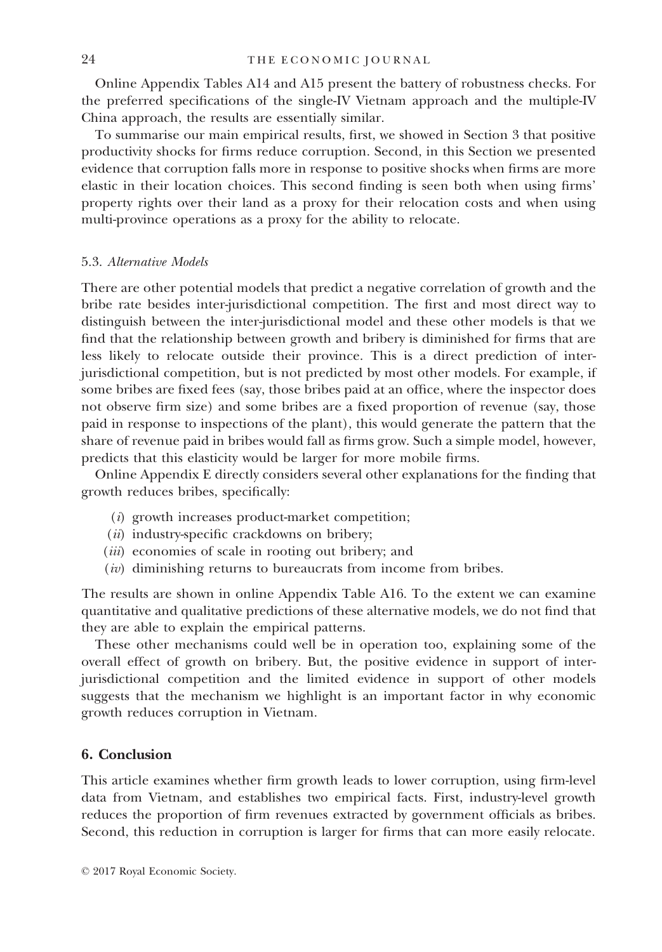Online Appendix Tables A14 and A15 present the battery of robustness checks. For the preferred specifications of the single-IV Vietnam approach and the multiple-IV China approach, the results are essentially similar.

To summarise our main empirical results, first, we showed in Section 3 that positive productivity shocks for firms reduce corruption. Second, in this Section we presented evidence that corruption falls more in response to positive shocks when firms are more elastic in their location choices. This second finding is seen both when using firms' property rights over their land as a proxy for their relocation costs and when using multi-province operations as a proxy for the ability to relocate.

### 5.3. Alternative Models

There are other potential models that predict a negative correlation of growth and the bribe rate besides inter-jurisdictional competition. The first and most direct way to distinguish between the inter-jurisdictional model and these other models is that we find that the relationship between growth and bribery is diminished for firms that are less likely to relocate outside their province. This is a direct prediction of interjurisdictional competition, but is not predicted by most other models. For example, if some bribes are fixed fees (say, those bribes paid at an office, where the inspector does not observe firm size) and some bribes are a fixed proportion of revenue (say, those paid in response to inspections of the plant), this would generate the pattern that the share of revenue paid in bribes would fall as firms grow. Such a simple model, however, predicts that this elasticity would be larger for more mobile firms.

Online Appendix E directly considers several other explanations for the finding that growth reduces bribes, specifically:

- (i) growth increases product-market competition;
- (ii) industry-specific crackdowns on bribery;
- (*iii*) economies of scale in rooting out bribery; and
- (iv) diminishing returns to bureaucrats from income from bribes.

The results are shown in online Appendix Table A16. To the extent we can examine quantitative and qualitative predictions of these alternative models, we do not find that they are able to explain the empirical patterns.

These other mechanisms could well be in operation too, explaining some of the overall effect of growth on bribery. But, the positive evidence in support of interjurisdictional competition and the limited evidence in support of other models suggests that the mechanism we highlight is an important factor in why economic growth reduces corruption in Vietnam.

## 6. Conclusion

This article examines whether firm growth leads to lower corruption, using firm-level data from Vietnam, and establishes two empirical facts. First, industry-level growth reduces the proportion of firm revenues extracted by government officials as bribes. Second, this reduction in corruption is larger for firms that can more easily relocate.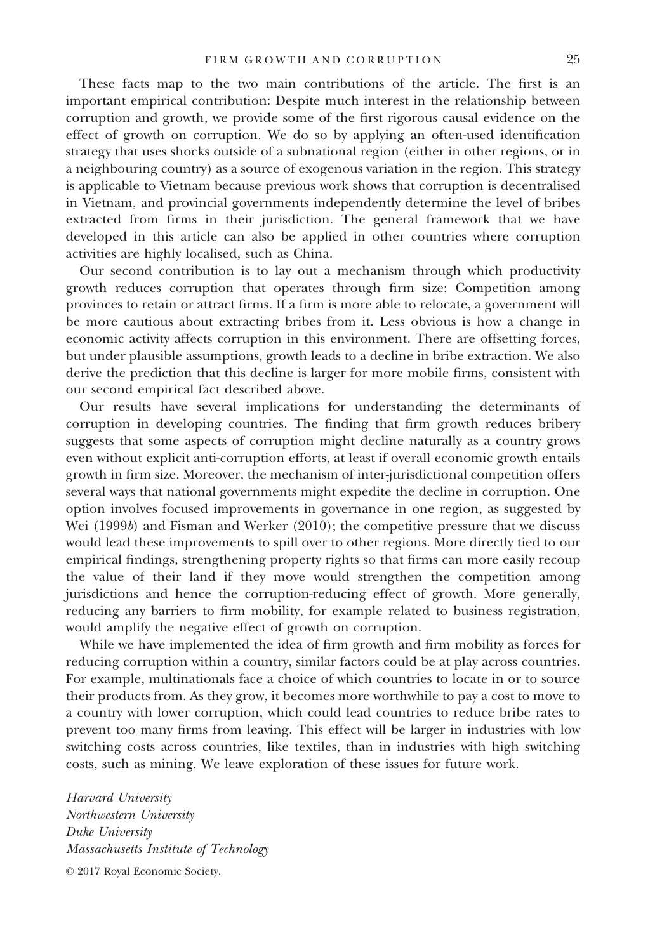These facts map to the two main contributions of the article. The first is an important empirical contribution: Despite much interest in the relationship between corruption and growth, we provide some of the first rigorous causal evidence on the effect of growth on corruption. We do so by applying an often-used identification strategy that uses shocks outside of a subnational region (either in other regions, or in a neighbouring country) as a source of exogenous variation in the region. This strategy is applicable to Vietnam because previous work shows that corruption is decentralised in Vietnam, and provincial governments independently determine the level of bribes extracted from firms in their jurisdiction. The general framework that we have developed in this article can also be applied in other countries where corruption activities are highly localised, such as China.

Our second contribution is to lay out a mechanism through which productivity growth reduces corruption that operates through firm size: Competition among provinces to retain or attract firms. If a firm is more able to relocate, a government will be more cautious about extracting bribes from it. Less obvious is how a change in economic activity affects corruption in this environment. There are offsetting forces, but under plausible assumptions, growth leads to a decline in bribe extraction. We also derive the prediction that this decline is larger for more mobile firms, consistent with our second empirical fact described above.

Our results have several implications for understanding the determinants of corruption in developing countries. The finding that firm growth reduces bribery suggests that some aspects of corruption might decline naturally as a country grows even without explicit anti-corruption efforts, at least if overall economic growth entails growth in firm size. Moreover, the mechanism of inter-jurisdictional competition offers several ways that national governments might expedite the decline in corruption. One option involves focused improvements in governance in one region, as suggested by Wei (1999b) and Fisman and Werker (2010); the competitive pressure that we discuss would lead these improvements to spill over to other regions. More directly tied to our empirical findings, strengthening property rights so that firms can more easily recoup the value of their land if they move would strengthen the competition among jurisdictions and hence the corruption-reducing effect of growth. More generally, reducing any barriers to firm mobility, for example related to business registration, would amplify the negative effect of growth on corruption.

While we have implemented the idea of firm growth and firm mobility as forces for reducing corruption within a country, similar factors could be at play across countries. For example, multinationals face a choice of which countries to locate in or to source their products from. As they grow, it becomes more worthwhile to pay a cost to move to a country with lower corruption, which could lead countries to reduce bribe rates to prevent too many firms from leaving. This effect will be larger in industries with low switching costs across countries, like textiles, than in industries with high switching costs, such as mining. We leave exploration of these issues for future work.

Harvard University Northwestern University Duke University Massachusetts Institute of Technology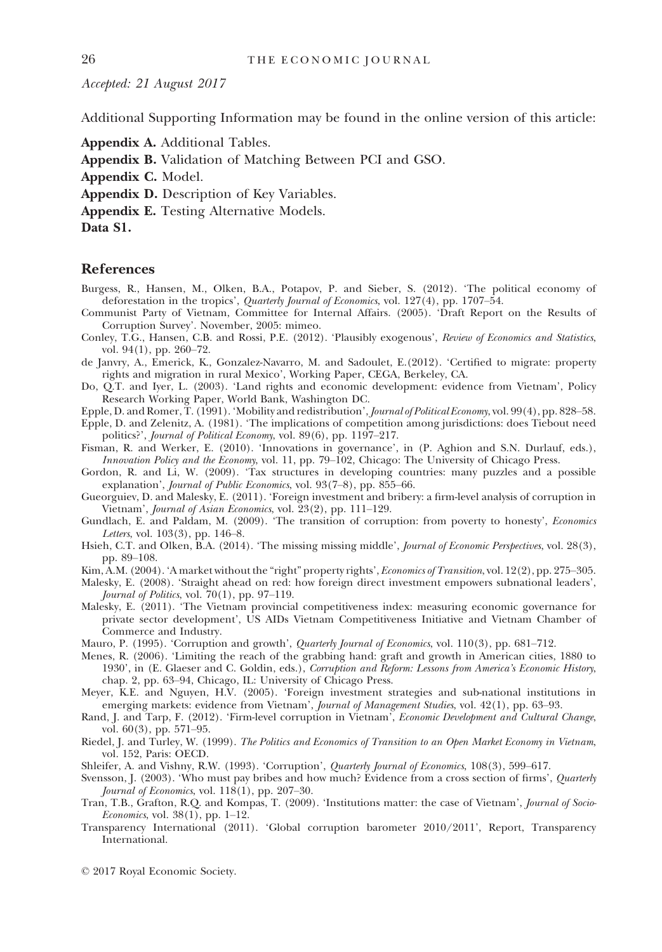Accepted: 21 August 2017

Additional Supporting Information may be found in the online version of this article:

Appendix A. Additional Tables.

Appendix B. Validation of Matching Between PCI and GSO.

Appendix C. Model.

Appendix D. Description of Key Variables.

Appendix E. Testing Alternative Models.

Data S1.

### References

- Burgess, R., Hansen, M., Olken, B.A., Potapov, P. and Sieber, S. (2012). 'The political economy of deforestation in the tropics', Quarterly Journal of Economics, vol. 127(4), pp. 1707–54.
- Communist Party of Vietnam, Committee for Internal Affairs. (2005). 'Draft Report on the Results of Corruption Survey'. November, 2005: mimeo.
- Conley, T.G., Hansen, C.B. and Rossi, P.E. (2012). 'Plausibly exogenous', Review of Economics and Statistics, vol. 94(1), pp. 260–72.
- de Janvry, A., Emerick, K., Gonzalez-Navarro, M. and Sadoulet, E.(2012). 'Certified to migrate: property rights and migration in rural Mexico', Working Paper, CEGA, Berkeley, CA.
- Do, Q.T. and Iyer, L. (2003). 'Land rights and economic development: evidence from Vietnam', Policy Research Working Paper, World Bank, Washington DC.

Epple, D. and Romer, T. (1991). 'Mobility and redistribution', Journal of Political Economy, vol. 99(4), pp. 828–58.

Epple, D. and Zelenitz, A. (1981). 'The implications of competition among jurisdictions: does Tiebout need politics?', Journal of Political Economy, vol. 89(6), pp. 1197-217.

- Fisman, R. and Werker, E. (2010). 'Innovations in governance', in (P. Aghion and S.N. Durlauf, eds.), Innovation Policy and the Economy, vol. 11, pp. 79–102, Chicago: The University of Chicago Press.
- Gordon, R. and Li, W. (2009). 'Tax structures in developing countries: many puzzles and a possible explanation', Journal of Public Economics, vol. 93(7–8), pp. 855–66.
- Gueorguiev, D. and Malesky, E. (2011). 'Foreign investment and bribery: a firm-level analysis of corruption in Vietnam', Journal of Asian Economics, vol. 23(2), pp. 111–129.
- Gundlach, E. and Paldam, M. (2009). 'The transition of corruption: from poverty to honesty', Economics Letters, vol. 103(3), pp. 146–8.
- Hsieh, C.T. and Olken, B.A. (2014). 'The missing missing middle', Journal of Economic Perspectives, vol. 28(3), pp. 89–108.

Kim, A.M. (2004). 'A market without the "right" property rights', *Economics of Transition*, vol. 12(2), pp. 275–305.

- Malesky, E. (2008). 'Straight ahead on red: how foreign direct investment empowers subnational leaders', Journal of Politics, vol.  $70(1)$ , pp. 97-119.
- Malesky, E. (2011). 'The Vietnam provincial competitiveness index: measuring economic governance for private sector development', US AIDs Vietnam Competitiveness Initiative and Vietnam Chamber of Commerce and Industry.
- Mauro, P. (1995). 'Corruption and growth', *Quarterly Journal of Economics*, vol. 110(3), pp. 681–712.
- Menes, R. (2006). 'Limiting the reach of the grabbing hand: graft and growth in American cities, 1880 to 1930', in (E. Glaeser and C. Goldin, eds.), Corruption and Reform: Lessons from America's Economic History, chap. 2, pp. 63–94, Chicago, IL: University of Chicago Press.
- Meyer, K.E. and Nguyen, H.V. (2005). 'Foreign investment strategies and sub-national institutions in emerging markets: evidence from Vietnam', Journal of Management Studies, vol. 42(1), pp. 63-93.
- Rand, J. and Tarp, F. (2012). 'Firm-level corruption in Vietnam', Economic Development and Cultural Change, vol. 60(3), pp. 571–95.
- Riedel, J. and Turley, W. (1999). The Politics and Economics of Transition to an Open Market Economy in Vietnam, vol. 152, Paris: OECD.
- Shleifer, A. and Vishny, R.W. (1993). 'Corruption', Quarterly Journal of Economics, 108(3), 599–617.
- Svensson, J. (2003). 'Who must pay bribes and how much? Evidence from a cross section of firms', Quarterly Journal of Economics, vol. 118(1), pp. 207–30.
- Tran, T.B., Grafton, R.Q. and Kompas, T. (2009). 'Institutions matter: the case of Vietnam', Journal of Socio-Economics, vol. 38(1), pp. 1–12.
- Transparency International (2011). 'Global corruption barometer 2010/2011', Report, Transparency International.